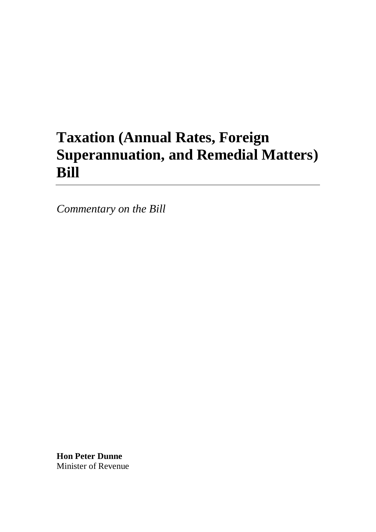## **Taxation (Annual Rates, Foreign Superannuation, and Remedial Matters) Bill**

*Commentary on the Bill*

**Hon Peter Dunne** Minister of Revenue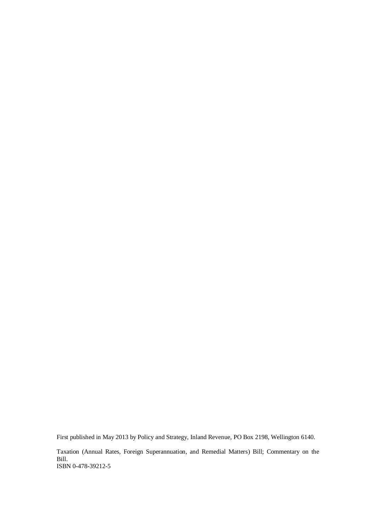First published in May 2013 by Policy and Strategy, Inland Revenue, PO Box 2198, Wellington 6140.

Taxation (Annual Rates, Foreign Superannuation, and Remedial Matters) Bill; Commentary on the Bill. ISBN 0-478-39212-5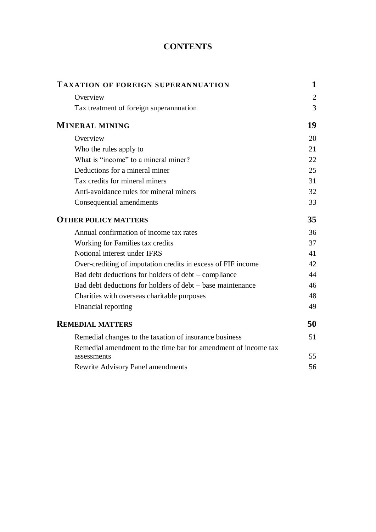## **CONTENTS**

| Overview<br>Tax treatment of foreign superannuation                           | $\overline{2}$<br>3<br>19 |
|-------------------------------------------------------------------------------|---------------------------|
|                                                                               |                           |
|                                                                               |                           |
| <b>MINERAL MINING</b>                                                         |                           |
| Overview                                                                      | 20                        |
| Who the rules apply to                                                        | 21                        |
| What is "income" to a mineral miner?                                          | 22                        |
| Deductions for a mineral miner                                                | 25                        |
| Tax credits for mineral miners                                                | 31                        |
| Anti-avoidance rules for mineral miners                                       | 32                        |
| Consequential amendments                                                      | 33                        |
| <b>OTHER POLICY MATTERS</b>                                                   | 35                        |
| Annual confirmation of income tax rates                                       | 36                        |
| Working for Families tax credits                                              | 37                        |
| Notional interest under IFRS                                                  | 41                        |
| Over-crediting of imputation credits in excess of FIF income                  | 42                        |
| Bad debt deductions for holders of debt – compliance                          | 44                        |
| Bad debt deductions for holders of debt – base maintenance                    | 46                        |
| Charities with overseas charitable purposes                                   | 48                        |
| Financial reporting                                                           | 49                        |
| <b>REMEDIAL MATTERS</b>                                                       | 50                        |
| Remedial changes to the taxation of insurance business                        | 51                        |
| Remedial amendment to the time bar for amendment of income tax<br>assessments | 55                        |
| <b>Rewrite Advisory Panel amendments</b>                                      | 56                        |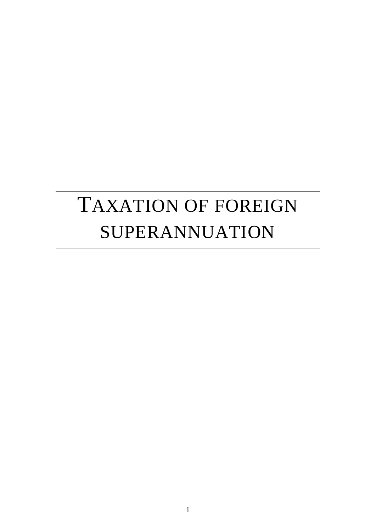## TAXATION OF FOREIGN SUPERANNUATION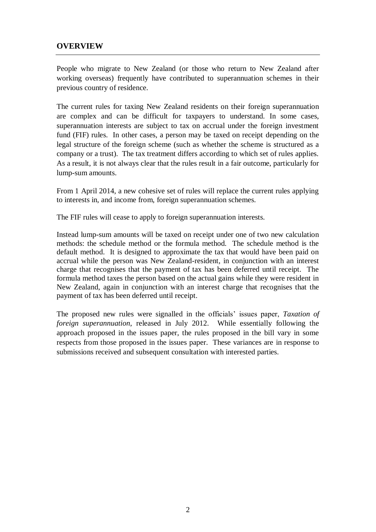## **OVERVIEW**

People who migrate to New Zealand (or those who return to New Zealand after working overseas) frequently have contributed to superannuation schemes in their previous country of residence.

The current rules for taxing New Zealand residents on their foreign superannuation are complex and can be difficult for taxpayers to understand. In some cases, superannuation interests are subject to tax on accrual under the foreign investment fund (FIF) rules. In other cases, a person may be taxed on receipt depending on the legal structure of the foreign scheme (such as whether the scheme is structured as a company or a trust). The tax treatment differs according to which set of rules applies. As a result, it is not always clear that the rules result in a fair outcome, particularly for lump-sum amounts.

From 1 April 2014, a new cohesive set of rules will replace the current rules applying to interests in, and income from, foreign superannuation schemes.

The FIF rules will cease to apply to foreign superannuation interests.

Instead lump-sum amounts will be taxed on receipt under one of two new calculation methods: the schedule method or the formula method. The schedule method is the default method. It is designed to approximate the tax that would have been paid on accrual while the person was New Zealand-resident, in conjunction with an interest charge that recognises that the payment of tax has been deferred until receipt. The formula method taxes the person based on the actual gains while they were resident in New Zealand, again in conjunction with an interest charge that recognises that the payment of tax has been deferred until receipt.

The proposed new rules were signalled in the officials' issues paper, *Taxation of foreign superannuation*, released in July 2012. While essentially following the approach proposed in the issues paper, the rules proposed in the bill vary in some respects from those proposed in the issues paper. These variances are in response to submissions received and subsequent consultation with interested parties.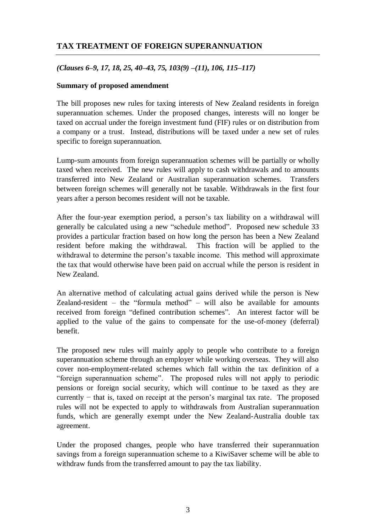## **TAX TREATMENT OF FOREIGN SUPERANNUATION**

## *(Clauses 6–9, 17, 18, 25, 40–43, 75, 103(9) –(11), 106, 115–117)*

## **Summary of proposed amendment**

The bill proposes new rules for taxing interests of New Zealand residents in foreign superannuation schemes. Under the proposed changes, interests will no longer be taxed on accrual under the foreign investment fund (FIF) rules or on distribution from a company or a trust. Instead, distributions will be taxed under a new set of rules specific to foreign superannuation.

Lump-sum amounts from foreign superannuation schemes will be partially or wholly taxed when received. The new rules will apply to cash withdrawals and to amounts transferred into New Zealand or Australian superannuation schemes. Transfers between foreign schemes will generally not be taxable. Withdrawals in the first four years after a person becomes resident will not be taxable.

After the four-year exemption period, a person's tax liability on a withdrawal will generally be calculated using a new "schedule method". Proposed new schedule 33 provides a particular fraction based on how long the person has been a New Zealand resident before making the withdrawal. This fraction will be applied to the withdrawal to determine the person's taxable income. This method will approximate the tax that would otherwise have been paid on accrual while the person is resident in New Zealand.

An alternative method of calculating actual gains derived while the person is New Zealand-resident – the "formula method" – will also be available for amounts received from foreign "defined contribution schemes". An interest factor will be applied to the value of the gains to compensate for the use-of-money (deferral) benefit.

The proposed new rules will mainly apply to people who contribute to a foreign superannuation scheme through an employer while working overseas. They will also cover non-employment-related schemes which fall within the tax definition of a "foreign superannuation scheme". The proposed rules will not apply to periodic pensions or foreign social security, which will continue to be taxed as they are currently − that is, taxed on receipt at the person's marginal tax rate. The proposed rules will not be expected to apply to withdrawals from Australian superannuation funds, which are generally exempt under the New Zealand-Australia double tax agreement.

Under the proposed changes, people who have transferred their superannuation savings from a foreign superannuation scheme to a KiwiSaver scheme will be able to withdraw funds from the transferred amount to pay the tax liability.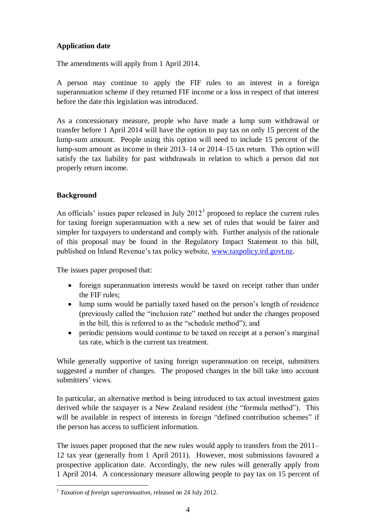## **Application date**

The amendments will apply from 1 April 2014.

A person may continue to apply the FIF rules to an interest in a foreign superannuation scheme if they returned FIF income or a loss in respect of that interest before the date this legislation was introduced.

As a concessionary measure, people who have made a lump sum withdrawal or transfer before 1 April 2014 will have the option to pay tax on only 15 percent of the lump-sum amount. People using this option will need to include 15 percent of the lump-sum amount as income in their 2013–14 or 2014–15 tax return. This option will satisfy the tax liability for past withdrawals in relation to which a person did not properly return income.

## **Background**

 $\overline{a}$ 

An officials' issues paper released in July  $2012<sup>1</sup>$  proposed to replace the current rules for taxing foreign superannuation with a new set of rules that would be fairer and simpler for taxpayers to understand and comply with. Further analysis of the rationale of this proposal may be found in the Regulatory Impact Statement to this bill, published on Inland Revenue's tax policy website, [www.taxpolicy.ird.govt.nz.](http://www.taxpolicy.ird.govt.nz/)

The issues paper proposed that:

- foreign superannuation interests would be taxed on receipt rather than under the FIF rules;
- lump sums would be partially taxed based on the person's length of residence (previously called the "inclusion rate" method but under the changes proposed in the bill, this is referred to as the "schedule method"); and
- periodic pensions would continue to be taxed on receipt at a person's marginal tax rate, which is the current tax treatment.

While generally supportive of taxing foreign superannuation on receipt, submitters suggested a number of changes. The proposed changes in the bill take into account submitters' views.

In particular, an alternative method is being introduced to tax actual investment gains derived while the taxpayer is a New Zealand resident (the "formula method"). This will be available in respect of interests in foreign "defined contribution schemes" if the person has access to sufficient information.

The issues paper proposed that the new rules would apply to transfers from the 2011– 12 tax year (generally from 1 April 2011). However, most submissions favoured a prospective application date. Accordingly, the new rules will generally apply from 1 April 2014. A concessionary measure allowing people to pay tax on 15 percent of

<sup>1</sup> *Taxation of foreign superannuation*, released on 24 July 2012.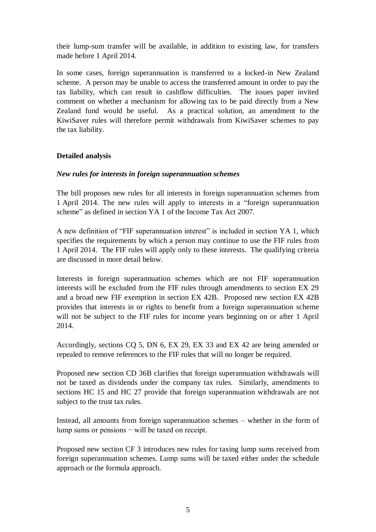their lump-sum transfer will be available, in addition to existing law, for transfers made before 1 April 2014.

In some cases, foreign superannuation is transferred to a locked-in New Zealand scheme. A person may be unable to access the transferred amount in order to pay the tax liability, which can result in cashflow difficulties. The issues paper invited comment on whether a mechanism for allowing tax to be paid directly from a New Zealand fund would be useful. As a practical solution, an amendment to the KiwiSaver rules will therefore permit withdrawals from KiwiSaver schemes to pay the tax liability.

## **Detailed analysis**

## *New rules for interests in foreign superannuation schemes*

The bill proposes new rules for all interests in foreign superannuation schemes from 1 April 2014. The new rules will apply to interests in a "foreign superannuation scheme" as defined in section YA 1 of the Income Tax Act 2007.

A new definition of "FIF superannuation interest" is included in section YA 1, which specifies the requirements by which a person may continue to use the FIF rules from 1 April 2014. The FIF rules will apply only to these interests. The qualifying criteria are discussed in more detail below.

Interests in foreign superannuation schemes which are not FIF superannuation interests will be excluded from the FIF rules through amendments to section EX 29 and a broad new FIF exemption in section EX 42B. Proposed new section EX 42B provides that interests in or rights to benefit from a foreign superannuation scheme will not be subject to the FIF rules for income years beginning on or after 1 April 2014.

Accordingly, sections CQ 5, DN 6, EX 29, EX 33 and EX 42 are being amended or repealed to remove references to the FIF rules that will no longer be required.

Proposed new section CD 36B clarifies that foreign superannuation withdrawals will not be taxed as dividends under the company tax rules. Similarly, amendments to sections HC 15 and HC 27 provide that foreign superannuation withdrawals are not subject to the trust tax rules.

Instead, all amounts from foreign superannuation schemes – whether in the form of lump sums or pensions − will be taxed on receipt.

Proposed new section CF 3 introduces new rules for taxing lump sums received from foreign superannuation schemes. Lump sums will be taxed either under the schedule approach or the formula approach.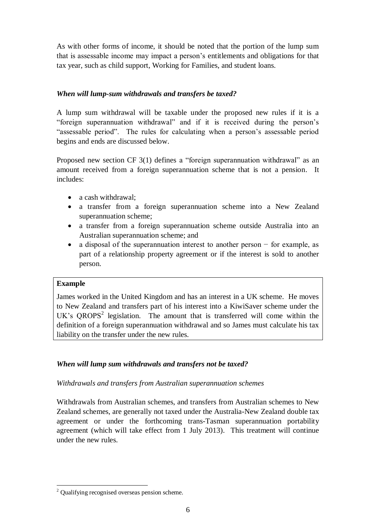As with other forms of income, it should be noted that the portion of the lump sum that is assessable income may impact a person's entitlements and obligations for that tax year, such as child support, Working for Families, and student loans.

## *When will lump-sum withdrawals and transfers be taxed?*

A lump sum withdrawal will be taxable under the proposed new rules if it is a "foreign superannuation withdrawal" and if it is received during the person's "assessable period". The rules for calculating when a person's assessable period begins and ends are discussed below.

Proposed new section CF 3(1) defines a "foreign superannuation withdrawal" as an amount received from a foreign superannuation scheme that is not a pension. It includes:

- a cash withdrawal:
- a transfer from a foreign superannuation scheme into a New Zealand superannuation scheme;
- a transfer from a foreign superannuation scheme outside Australia into an Australian superannuation scheme; and
- a disposal of the superannuation interest to another person for example, as part of a relationship property agreement or if the interest is sold to another person.

## **Example**

 $\overline{a}$ 

James worked in the United Kingdom and has an interest in a UK scheme. He moves to New Zealand and transfers part of his interest into a KiwiSaver scheme under the UK's  $QROPS<sup>2</sup>$  legislation. The amount that is transferred will come within the definition of a foreign superannuation withdrawal and so James must calculate his tax liability on the transfer under the new rules.

## *When will lump sum withdrawals and transfers not be taxed?*

*Withdrawals and transfers from Australian superannuation schemes*

Withdrawals from Australian schemes, and transfers from Australian schemes to New Zealand schemes, are generally not taxed under the Australia-New Zealand double tax agreement or under the forthcoming trans-Tasman superannuation portability agreement (which will take effect from 1 July 2013). This treatment will continue under the new rules.

<sup>2</sup> Qualifying recognised overseas pension scheme.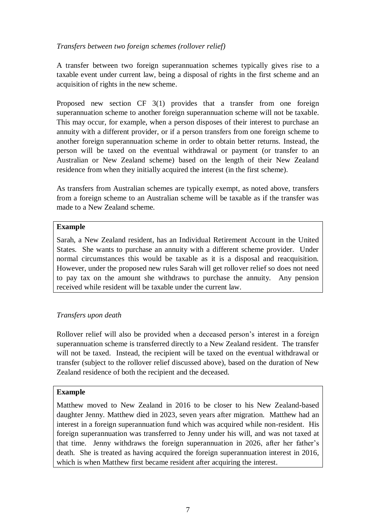## *Transfers between two foreign schemes (rollover relief)*

A transfer between two foreign superannuation schemes typically gives rise to a taxable event under current law, being a disposal of rights in the first scheme and an acquisition of rights in the new scheme.

Proposed new section CF 3(1) provides that a transfer from one foreign superannuation scheme to another foreign superannuation scheme will not be taxable. This may occur, for example, when a person disposes of their interest to purchase an annuity with a different provider, or if a person transfers from one foreign scheme to another foreign superannuation scheme in order to obtain better returns. Instead, the person will be taxed on the eventual withdrawal or payment (or transfer to an Australian or New Zealand scheme) based on the length of their New Zealand residence from when they initially acquired the interest (in the first scheme).

As transfers from Australian schemes are typically exempt, as noted above, transfers from a foreign scheme to an Australian scheme will be taxable as if the transfer was made to a New Zealand scheme.

## **Example**

Sarah, a New Zealand resident, has an Individual Retirement Account in the United States. She wants to purchase an annuity with a different scheme provider. Under normal circumstances this would be taxable as it is a disposal and reacquisition. However, under the proposed new rules Sarah will get rollover relief so does not need to pay tax on the amount she withdraws to purchase the annuity. Any pension received while resident will be taxable under the current law.

## *Transfers upon death*

Rollover relief will also be provided when a deceased person's interest in a foreign superannuation scheme is transferred directly to a New Zealand resident. The transfer will not be taxed. Instead, the recipient will be taxed on the eventual withdrawal or transfer (subject to the rollover relief discussed above), based on the duration of New Zealand residence of both the recipient and the deceased.

## **Example**

Matthew moved to New Zealand in 2016 to be closer to his New Zealand-based daughter Jenny. Matthew died in 2023, seven years after migration. Matthew had an interest in a foreign superannuation fund which was acquired while non-resident. His foreign superannuation was transferred to Jenny under his will, and was not taxed at that time. Jenny withdraws the foreign superannuation in 2026, after her father's death. She is treated as having acquired the foreign superannuation interest in 2016, which is when Matthew first became resident after acquiring the interest.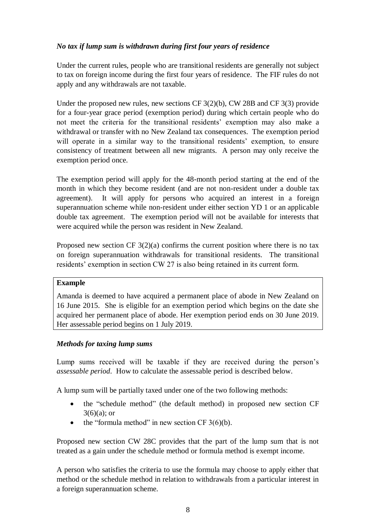## *No tax if lump sum is withdrawn during first four years of residence*

Under the current rules, people who are transitional residents are generally not subject to tax on foreign income during the first four years of residence. The FIF rules do not apply and any withdrawals are not taxable.

Under the proposed new rules, new sections CF 3(2)(b), CW 28B and CF 3(3) provide for a four-year grace period (exemption period) during which certain people who do not meet the criteria for the transitional residents' exemption may also make a withdrawal or transfer with no New Zealand tax consequences. The exemption period will operate in a similar way to the transitional residents' exemption, to ensure consistency of treatment between all new migrants. A person may only receive the exemption period once.

The exemption period will apply for the 48-month period starting at the end of the month in which they become resident (and are not non-resident under a double tax agreement). It will apply for persons who acquired an interest in a foreign superannuation scheme while non-resident under either section YD 1 or an applicable double tax agreement. The exemption period will not be available for interests that were acquired while the person was resident in New Zealand.

Proposed new section CF  $3(2)(a)$  confirms the current position where there is no tax on foreign superannuation withdrawals for transitional residents. The transitional residents' exemption in section CW 27 is also being retained in its current form.

## **Example**

Amanda is deemed to have acquired a permanent place of abode in New Zealand on 16 June 2015. She is eligible for an exemption period which begins on the date she acquired her permanent place of abode. Her exemption period ends on 30 June 2019. Her assessable period begins on 1 July 2019.

## *Methods for taxing lump sums*

Lump sums received will be taxable if they are received during the person's *assessable period*. How to calculate the assessable period is described below.

A lump sum will be partially taxed under one of the two following methods:

- the "schedule method" (the default method) in proposed new section CF  $3(6)(a)$ ; or
- the "formula method" in new section  $CF 3(6)(b)$ .

Proposed new section CW 28C provides that the part of the lump sum that is not treated as a gain under the schedule method or formula method is exempt income.

A person who satisfies the criteria to use the formula may choose to apply either that method or the schedule method in relation to withdrawals from a particular interest in a foreign superannuation scheme.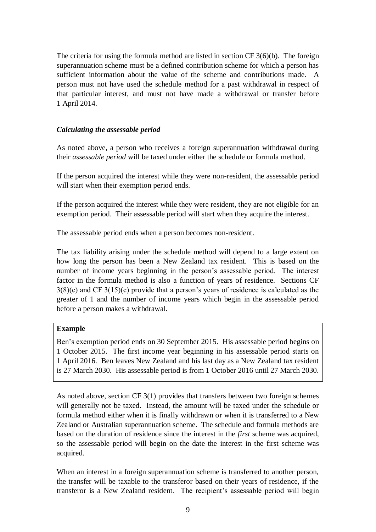The criteria for using the formula method are listed in section CF 3(6)(b). The foreign superannuation scheme must be a defined contribution scheme for which a person has sufficient information about the value of the scheme and contributions made. A person must not have used the schedule method for a past withdrawal in respect of that particular interest, and must not have made a withdrawal or transfer before 1 April 2014.

#### *Calculating the assessable period*

As noted above, a person who receives a foreign superannuation withdrawal during their *assessable period* will be taxed under either the schedule or formula method.

If the person acquired the interest while they were non-resident, the assessable period will start when their exemption period ends.

If the person acquired the interest while they were resident, they are not eligible for an exemption period. Their assessable period will start when they acquire the interest.

The assessable period ends when a person becomes non-resident.

The tax liability arising under the schedule method will depend to a large extent on how long the person has been a New Zealand tax resident. This is based on the number of income years beginning in the person's assessable period. The interest factor in the formula method is also a function of years of residence. Sections CF 3(8)(c) and CF 3(15)(c) provide that a person's years of residence is calculated as the greater of 1 and the number of income years which begin in the assessable period before a person makes a withdrawal.

#### **Example**

Ben's exemption period ends on 30 September 2015. His assessable period begins on 1 October 2015. The first income year beginning in his assessable period starts on 1 April 2016. Ben leaves New Zealand and his last day as a New Zealand tax resident is 27 March 2030. His assessable period is from 1 October 2016 until 27 March 2030.

As noted above, section CF 3(1) provides that transfers between two foreign schemes will generally not be taxed. Instead, the amount will be taxed under the schedule or formula method either when it is finally withdrawn or when it is transferred to a New Zealand or Australian superannuation scheme. The schedule and formula methods are based on the duration of residence since the interest in the *first* scheme was acquired, so the assessable period will begin on the date the interest in the first scheme was acquired.

When an interest in a foreign superannuation scheme is transferred to another person, the transfer will be taxable to the transferor based on their years of residence, if the transferor is a New Zealand resident. The recipient's assessable period will begin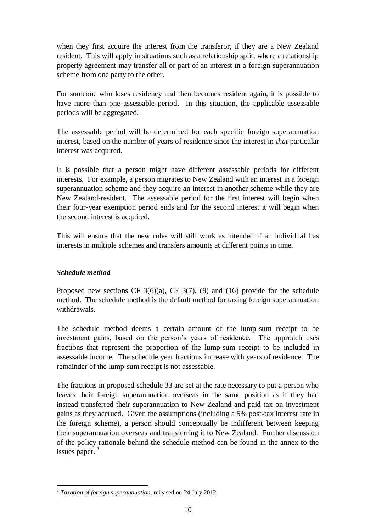when they first acquire the interest from the transferor, if they are a New Zealand resident. This will apply in situations such as a relationship split, where a relationship property agreement may transfer all or part of an interest in a foreign superannuation scheme from one party to the other.

For someone who loses residency and then becomes resident again, it is possible to have more than one assessable period. In this situation, the applicable assessable periods will be aggregated.

The assessable period will be determined for each specific foreign superannuation interest, based on the number of years of residence since the interest in *that* particular interest was acquired.

It is possible that a person might have different assessable periods for different interests. For example, a person migrates to New Zealand with an interest in a foreign superannuation scheme and they acquire an interest in another scheme while they are New Zealand-resident. The assessable period for the first interest will begin when their four-year exemption period ends and for the second interest it will begin when the second interest is acquired.

This will ensure that the new rules will still work as intended if an individual has interests in multiple schemes and transfers amounts at different points in time.

## *Schedule method*

Proposed new sections CF  $3(6)(a)$ , CF  $3(7)$ , (8) and (16) provide for the schedule method. The schedule method is the default method for taxing foreign superannuation withdrawals.

The schedule method deems a certain amount of the lump-sum receipt to be investment gains, based on the person's years of residence. The approach uses fractions that represent the proportion of the lump-sum receipt to be included in assessable income. The schedule year fractions increase with years of residence. The remainder of the lump-sum receipt is not assessable.

The fractions in proposed schedule 33 are set at the rate necessary to put a person who leaves their foreign superannuation overseas in the same position as if they had instead transferred their superannuation to New Zealand and paid tax on investment gains as they accrued. Given the assumptions (including a 5% post-tax interest rate in the foreign scheme), a person should conceptually be indifferent between keeping their superannuation overseas and transferring it to New Zealand. Further discussion of the policy rationale behind the schedule method can be found in the annex to the issues paper.<sup>3</sup>

 3 *Taxation of foreign superannuation*, released on 24 July 2012.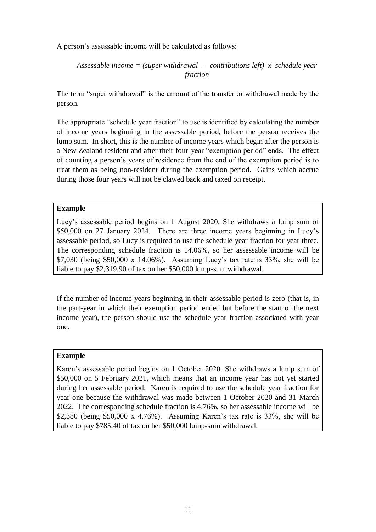A person's assessable income will be calculated as follows:

```
Assessable income = (super withdrawal – contributions left) x schedule year 
                      fraction
```
The term "super withdrawal" is the amount of the transfer or withdrawal made by the person.

The appropriate "schedule year fraction" to use is identified by calculating the number of income years beginning in the assessable period, before the person receives the lump sum. In short, this is the number of income years which begin after the person is a New Zealand resident and after their four-year "exemption period" ends. The effect of counting a person's years of residence from the end of the exemption period is to treat them as being non-resident during the exemption period. Gains which accrue during those four years will not be clawed back and taxed on receipt.

## **Example**

Lucy's assessable period begins on 1 August 2020. She withdraws a lump sum of \$50,000 on 27 January 2024. There are three income years beginning in Lucy's assessable period, so Lucy is required to use the schedule year fraction for year three. The corresponding schedule fraction is 14.06%, so her assessable income will be \$7,030 (being \$50,000 x 14.06%). Assuming Lucy's tax rate is 33%, she will be liable to pay \$2,319.90 of tax on her \$50,000 lump-sum withdrawal.

If the number of income years beginning in their assessable period is zero (that is, in the part-year in which their exemption period ended but before the start of the next income year), the person should use the schedule year fraction associated with year one.

## **Example**

Karen's assessable period begins on 1 October 2020. She withdraws a lump sum of \$50,000 on 5 February 2021, which means that an income year has not yet started during her assessable period. Karen is required to use the schedule year fraction for year one because the withdrawal was made between 1 October 2020 and 31 March 2022. The corresponding schedule fraction is 4.76%, so her assessable income will be \$2,380 (being \$50,000 x 4.76%). Assuming Karen's tax rate is 33%, she will be liable to pay \$785.40 of tax on her \$50,000 lump-sum withdrawal.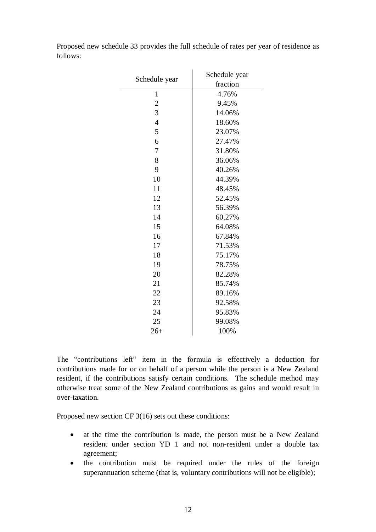| Schedule year  | Schedule year<br>fraction |  |
|----------------|---------------------------|--|
| $\mathbf{1}$   | 4.76%                     |  |
| $\overline{c}$ | 9.45%                     |  |
| 3              | 14.06%                    |  |
| $\overline{4}$ | 18.60%                    |  |
| 5              | 23.07%                    |  |
| 6              | 27.47%                    |  |
| 7              | 31.80%                    |  |
| 8              | 36.06%                    |  |
| 9              | 40.26%                    |  |
| 10             | 44.39%                    |  |
| 11             | 48.45%                    |  |
| 12             | 52.45%                    |  |
| 13             | 56.39%                    |  |
| 14             | 60.27%                    |  |
| 15             | 64.08%                    |  |
| 16             | 67.84%                    |  |
| 17             | 71.53%                    |  |
| 18             | 75.17%                    |  |
| 19             | 78.75%                    |  |
| 20             | 82.28%                    |  |
| 21             | 85.74%                    |  |
| 22             | 89.16%                    |  |
| 23             | 92.58%                    |  |
| 24             | 95.83%                    |  |
| 25             | 99.08%                    |  |
| $26+$          | 100%                      |  |

Proposed new schedule 33 provides the full schedule of rates per year of residence as follows:

The "contributions left" item in the formula is effectively a deduction for contributions made for or on behalf of a person while the person is a New Zealand resident, if the contributions satisfy certain conditions. The schedule method may otherwise treat some of the New Zealand contributions as gains and would result in over-taxation.

Proposed new section CF 3(16) sets out these conditions:

- at the time the contribution is made, the person must be a New Zealand resident under section YD 1 and not non-resident under a double tax agreement;
- the contribution must be required under the rules of the foreign superannuation scheme (that is, voluntary contributions will not be eligible);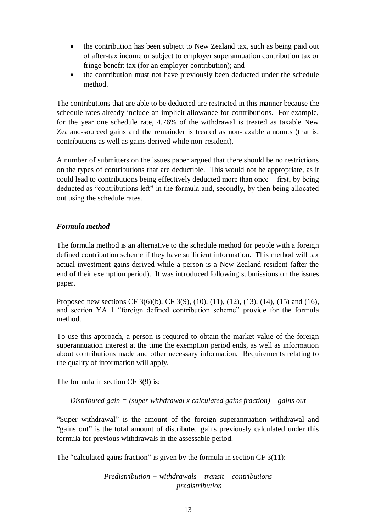- the contribution has been subject to New Zealand tax, such as being paid out of after-tax income or subject to employer superannuation contribution tax or fringe benefit tax (for an employer contribution); and
- the contribution must not have previously been deducted under the schedule method.

The contributions that are able to be deducted are restricted in this manner because the schedule rates already include an implicit allowance for contributions. For example, for the year one schedule rate, 4.76% of the withdrawal is treated as taxable New Zealand-sourced gains and the remainder is treated as non-taxable amounts (that is, contributions as well as gains derived while non-resident).

A number of submitters on the issues paper argued that there should be no restrictions on the types of contributions that are deductible. This would not be appropriate, as it could lead to contributions being effectively deducted more than once − first, by being deducted as "contributions left" in the formula and, secondly, by then being allocated out using the schedule rates.

## *Formula method*

The formula method is an alternative to the schedule method for people with a foreign defined contribution scheme if they have sufficient information. This method will tax actual investment gains derived while a person is a New Zealand resident (after the end of their exemption period). It was introduced following submissions on the issues paper.

Proposed new sections CF 3(6)(b), CF 3(9), (10), (11), (12), (13), (14), (15) and (16), and section YA 1 "foreign defined contribution scheme" provide for the formula method.

To use this approach, a person is required to obtain the market value of the foreign superannuation interest at the time the exemption period ends, as well as information about contributions made and other necessary information. Requirements relating to the quality of information will apply.

The formula in section CF 3(9) is:

*Distributed gain = (super withdrawal x calculated gains fraction) – gains out*

"Super withdrawal" is the amount of the foreign superannuation withdrawal and "gains out" is the total amount of distributed gains previously calculated under this formula for previous withdrawals in the assessable period.

The "calculated gains fraction" is given by the formula in section CF 3(11):

## *Predistribution + withdrawals – transit – contributions predistribution*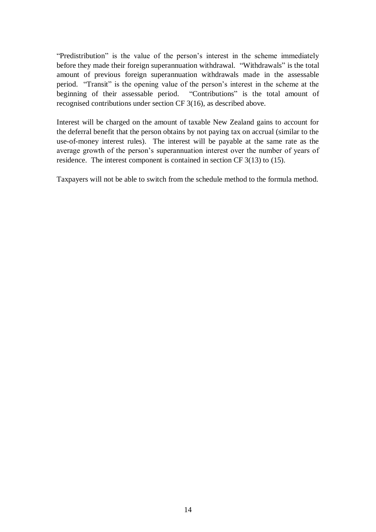"Predistribution" is the value of the person's interest in the scheme immediately before they made their foreign superannuation withdrawal. "Withdrawals" is the total amount of previous foreign superannuation withdrawals made in the assessable period. "Transit" is the opening value of the person's interest in the scheme at the beginning of their assessable period. "Contributions" is the total amount of recognised contributions under section CF 3(16), as described above.

Interest will be charged on the amount of taxable New Zealand gains to account for the deferral benefit that the person obtains by not paying tax on accrual (similar to the use-of-money interest rules). The interest will be payable at the same rate as the average growth of the person's superannuation interest over the number of years of residence. The interest component is contained in section CF 3(13) to (15).

Taxpayers will not be able to switch from the schedule method to the formula method.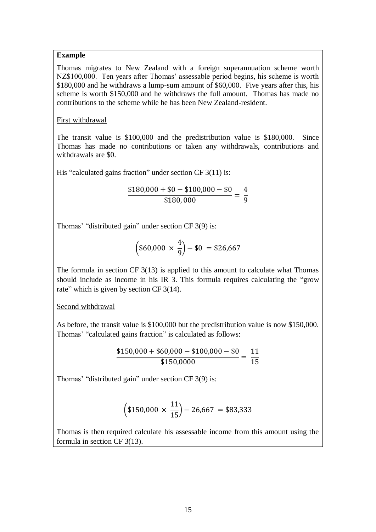## **Example**

Thomas migrates to New Zealand with a foreign superannuation scheme worth NZ\$100,000. Ten years after Thomas' assessable period begins, his scheme is worth \$180,000 and he withdraws a lump-sum amount of \$60,000. Five years after this, his scheme is worth \$150,000 and he withdraws the full amount. Thomas has made no contributions to the scheme while he has been New Zealand-resident.

#### First withdrawal

The transit value is \$100,000 and the predistribution value is \$180,000. Since Thomas has made no contributions or taken any withdrawals, contributions and withdrawals are \$0.

His "calculated gains fraction" under section CF 3(11) is:

$$
\frac{$180,000 + $0 - $100,000 - $0}{\$180,000} = \frac{4}{9}
$$

Thomas' "distributed gain" under section CF 3(9) is:

$$
\left(\$60,000 \times \frac{4}{9}\right) - \$0 = \$26,667
$$

The formula in section CF 3(13) is applied to this amount to calculate what Thomas should include as income in his IR 3. This formula requires calculating the "grow rate" which is given by section CF 3(14).

## Second withdrawal

As before, the transit value is \$100,000 but the predistribution value is now \$150,000. Thomas' "calculated gains fraction" is calculated as follows:

$$
\frac{\$150,000 + \$60,000 - \$100,000 - \$0}{\$150,0000} = \frac{11}{15}
$$

Thomas' "distributed gain" under section CF 3(9) is:

$$
\left(\$150,000\,\times\,\frac{11}{15}\right) - 26,667\ = \$83,333
$$

Thomas is then required calculate his assessable income from this amount using the formula in section CF 3(13).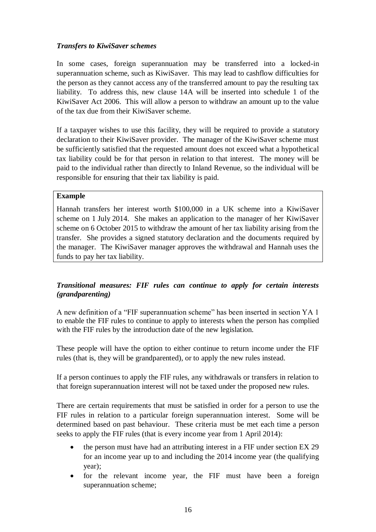## *Transfers to KiwiSaver schemes*

In some cases, foreign superannuation may be transferred into a locked-in superannuation scheme, such as KiwiSaver. This may lead to cashflow difficulties for the person as they cannot access any of the transferred amount to pay the resulting tax liability. To address this, new clause 14A will be inserted into schedule 1 of the KiwiSaver Act 2006. This will allow a person to withdraw an amount up to the value of the tax due from their KiwiSaver scheme.

If a taxpayer wishes to use this facility, they will be required to provide a statutory declaration to their KiwiSaver provider. The manager of the KiwiSaver scheme must be sufficiently satisfied that the requested amount does not exceed what a hypothetical tax liability could be for that person in relation to that interest. The money will be paid to the individual rather than directly to Inland Revenue, so the individual will be responsible for ensuring that their tax liability is paid.

#### **Example**

Hannah transfers her interest worth \$100,000 in a UK scheme into a KiwiSaver scheme on 1 July 2014. She makes an application to the manager of her KiwiSaver scheme on 6 October 2015 to withdraw the amount of her tax liability arising from the transfer. She provides a signed statutory declaration and the documents required by the manager. The KiwiSaver manager approves the withdrawal and Hannah uses the funds to pay her tax liability.

## *Transitional measures: FIF rules can continue to apply for certain interests (grandparenting)*

A new definition of a "FIF superannuation scheme" has been inserted in section YA 1 to enable the FIF rules to continue to apply to interests when the person has complied with the FIF rules by the introduction date of the new legislation.

These people will have the option to either continue to return income under the FIF rules (that is, they will be grandparented), or to apply the new rules instead.

If a person continues to apply the FIF rules, any withdrawals or transfers in relation to that foreign superannuation interest will not be taxed under the proposed new rules.

There are certain requirements that must be satisfied in order for a person to use the FIF rules in relation to a particular foreign superannuation interest. Some will be determined based on past behaviour. These criteria must be met each time a person seeks to apply the FIF rules (that is every income year from 1 April 2014):

- the person must have had an attributing interest in a FIF under section EX 29 for an income year up to and including the 2014 income year (the qualifying year);
- for the relevant income year, the FIF must have been a foreign superannuation scheme;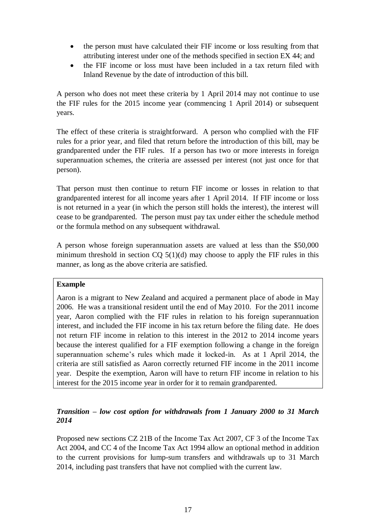- the person must have calculated their FIF income or loss resulting from that attributing interest under one of the methods specified in section EX 44; and
- the FIF income or loss must have been included in a tax return filed with Inland Revenue by the date of introduction of this bill.

A person who does not meet these criteria by 1 April 2014 may not continue to use the FIF rules for the 2015 income year (commencing 1 April 2014) or subsequent years.

The effect of these criteria is straightforward. A person who complied with the FIF rules for a prior year, and filed that return before the introduction of this bill, may be grandparented under the FIF rules. If a person has two or more interests in foreign superannuation schemes, the criteria are assessed per interest (not just once for that person).

That person must then continue to return FIF income or losses in relation to that grandparented interest for all income years after 1 April 2014. If FIF income or loss is not returned in a year (in which the person still holds the interest), the interest will cease to be grandparented. The person must pay tax under either the schedule method or the formula method on any subsequent withdrawal.

A person whose foreign superannuation assets are valued at less than the \$50,000 minimum threshold in section  $CO(5(1)(d))$  may choose to apply the FIF rules in this manner, as long as the above criteria are satisfied.

## **Example**

Aaron is a migrant to New Zealand and acquired a permanent place of abode in May 2006. He was a transitional resident until the end of May 2010. For the 2011 income year, Aaron complied with the FIF rules in relation to his foreign superannuation interest, and included the FIF income in his tax return before the filing date. He does not return FIF income in relation to this interest in the 2012 to 2014 income years because the interest qualified for a FIF exemption following a change in the foreign superannuation scheme's rules which made it locked-in. As at 1 April 2014, the criteria are still satisfied as Aaron correctly returned FIF income in the 2011 income year. Despite the exemption, Aaron will have to return FIF income in relation to his interest for the 2015 income year in order for it to remain grandparented.

## *Transition – low cost option for withdrawals from 1 January 2000 to 31 March 2014*

Proposed new sections CZ 21B of the Income Tax Act 2007, CF 3 of the Income Tax Act 2004, and CC 4 of the Income Tax Act 1994 allow an optional method in addition to the current provisions for lump-sum transfers and withdrawals up to 31 March 2014, including past transfers that have not complied with the current law.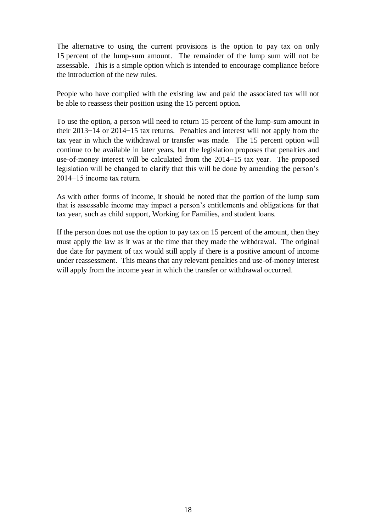The alternative to using the current provisions is the option to pay tax on only 15 percent of the lump-sum amount. The remainder of the lump sum will not be assessable. This is a simple option which is intended to encourage compliance before the introduction of the new rules.

People who have complied with the existing law and paid the associated tax will not be able to reassess their position using the 15 percent option.

To use the option, a person will need to return 15 percent of the lump-sum amount in their 2013−14 or 2014−15 tax returns. Penalties and interest will not apply from the tax year in which the withdrawal or transfer was made. The 15 percent option will continue to be available in later years, but the legislation proposes that penalties and use-of-money interest will be calculated from the 2014−15 tax year. The proposed legislation will be changed to clarify that this will be done by amending the person's 2014−15 income tax return.

As with other forms of income, it should be noted that the portion of the lump sum that is assessable income may impact a person's entitlements and obligations for that tax year, such as child support, Working for Families, and student loans.

If the person does not use the option to pay tax on 15 percent of the amount, then they must apply the law as it was at the time that they made the withdrawal. The original due date for payment of tax would still apply if there is a positive amount of income under reassessment. This means that any relevant penalties and use-of-money interest will apply from the income year in which the transfer or withdrawal occurred.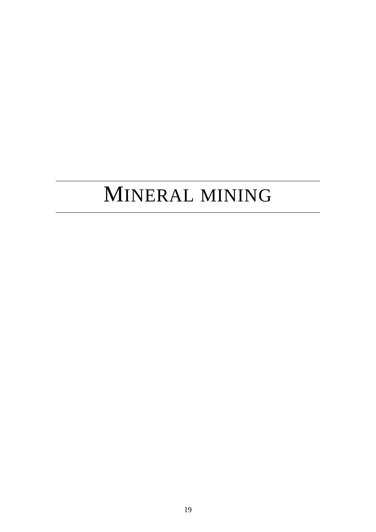# MINERAL MINING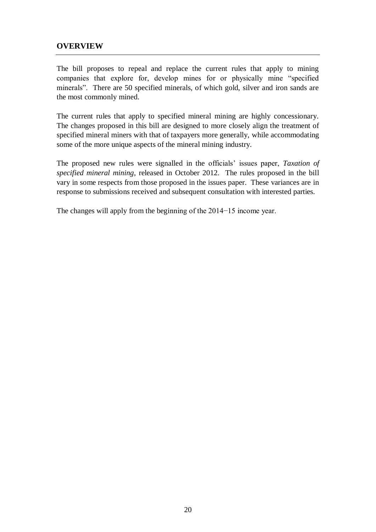## **OVERVIEW**

The bill proposes to repeal and replace the current rules that apply to mining companies that explore for, develop mines for or physically mine "specified minerals". There are 50 specified minerals, of which gold, silver and iron sands are the most commonly mined.

The current rules that apply to specified mineral mining are highly concessionary. The changes proposed in this bill are designed to more closely align the treatment of specified mineral miners with that of taxpayers more generally, while accommodating some of the more unique aspects of the mineral mining industry.

The proposed new rules were signalled in the officials' issues paper, *Taxation of specified mineral mining*, released in October 2012. The rules proposed in the bill vary in some respects from those proposed in the issues paper. These variances are in response to submissions received and subsequent consultation with interested parties.

The changes will apply from the beginning of the 2014−15 income year.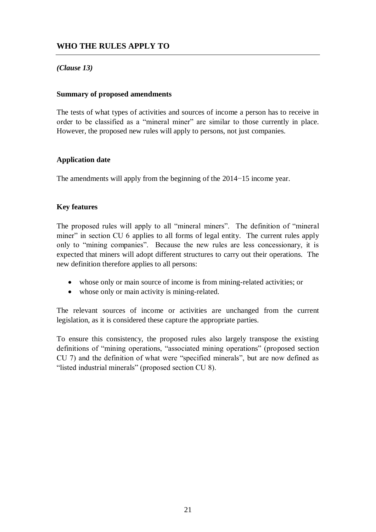## **WHO THE RULES APPLY TO**

## *(Clause 13)*

#### **Summary of proposed amendments**

The tests of what types of activities and sources of income a person has to receive in order to be classified as a "mineral miner" are similar to those currently in place. However, the proposed new rules will apply to persons, not just companies.

## **Application date**

The amendments will apply from the beginning of the 2014−15 income year.

## **Key features**

The proposed rules will apply to all "mineral miners". The definition of "mineral miner" in section CU 6 applies to all forms of legal entity. The current rules apply only to "mining companies". Because the new rules are less concessionary, it is expected that miners will adopt different structures to carry out their operations. The new definition therefore applies to all persons:

- whose only or main source of income is from mining-related activities; or
- whose only or main activity is mining-related.

The relevant sources of income or activities are unchanged from the current legislation, as it is considered these capture the appropriate parties.

To ensure this consistency, the proposed rules also largely transpose the existing definitions of "mining operations, "associated mining operations" (proposed section CU 7) and the definition of what were "specified minerals", but are now defined as "listed industrial minerals" (proposed section CU 8).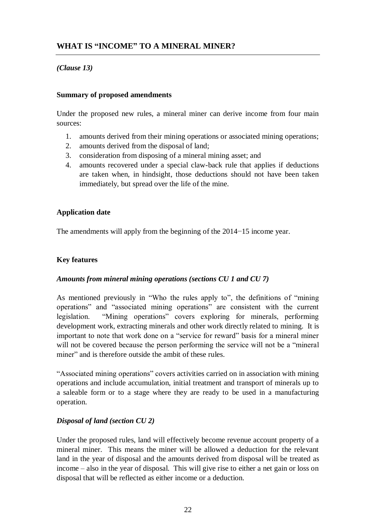## *(Clause 13)*

## **Summary of proposed amendments**

Under the proposed new rules, a mineral miner can derive income from four main sources:

- 1. amounts derived from their mining operations or associated mining operations;
- 2. amounts derived from the disposal of land;
- 3. consideration from disposing of a mineral mining asset; and
- 4. amounts recovered under a special claw-back rule that applies if deductions are taken when, in hindsight, those deductions should not have been taken immediately, but spread over the life of the mine.

## **Application date**

The amendments will apply from the beginning of the 2014−15 income year.

## **Key features**

## *Amounts from mineral mining operations (sections CU 1 and CU 7)*

As mentioned previously in "Who the rules apply to", the definitions of "mining operations" and "associated mining operations" are consistent with the current legislation. "Mining operations" covers exploring for minerals, performing development work, extracting minerals and other work directly related to mining. It is important to note that work done on a "service for reward" basis for a mineral miner will not be covered because the person performing the service will not be a "mineral" miner" and is therefore outside the ambit of these rules.

"Associated mining operations" covers activities carried on in association with mining operations and include accumulation, initial treatment and transport of minerals up to a saleable form or to a stage where they are ready to be used in a manufacturing operation.

## *Disposal of land (section CU 2)*

Under the proposed rules, land will effectively become revenue account property of a mineral miner. This means the miner will be allowed a deduction for the relevant land in the year of disposal and the amounts derived from disposal will be treated as income – also in the year of disposal. This will give rise to either a net gain or loss on disposal that will be reflected as either income or a deduction.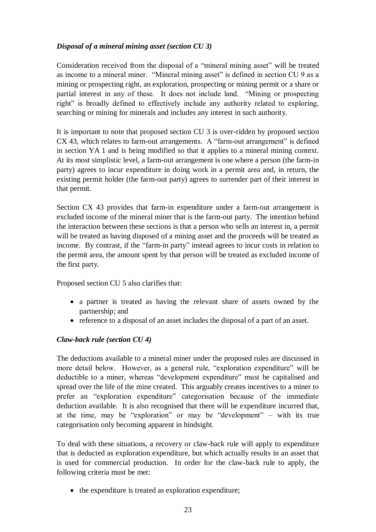## *Disposal of a mineral mining asset (section CU 3)*

Consideration received from the disposal of a "mineral mining asset" will be treated as income to a mineral miner. "Mineral mining asset" is defined in section CU 9 as a mining or prospecting right, an exploration, prospecting or mining permit or a share or partial interest in any of these. It does not include land. "Mining or prospecting right" is broadly defined to effectively include any authority related to exploring, searching or mining for minerals and includes any interest in such authority.

It is important to note that proposed section CU 3 is over-ridden by proposed section CX 43, which relates to farm-out arrangements. A "farm-out arrangement" is defined in section YA 1 and is being modified so that it applies to a mineral mining context. At its most simplistic level, a farm-out arrangement is one where a person (the farm-in party) agrees to incur expenditure in doing work in a permit area and, in return, the existing permit holder (the farm-out party) agrees to surrender part of their interest in that permit.

Section CX 43 provides that farm-in expenditure under a farm-out arrangement is excluded income of the mineral miner that is the farm-out party. The intention behind the interaction between these sections is that a person who sells an interest in, a permit will be treated as having disposed of a mining asset and the proceeds will be treated as income. By contrast, if the "farm-in party" instead agrees to incur costs in relation to the permit area, the amount spent by that person will be treated as excluded income of the first party.

Proposed section CU 5 also clarifies that:

- a partner is treated as having the relevant share of assets owned by the partnership; and
- reference to a disposal of an asset includes the disposal of a part of an asset.

## *Claw-back rule (section CU 4)*

The deductions available to a mineral miner under the proposed rules are discussed in more detail below. However, as a general rule, "exploration expenditure" will be deductible to a miner, whereas "development expenditure" must be capitalised and spread over the life of the mine created. This arguably creates incentives to a miner to prefer an "exploration expenditure" categorisation because of the immediate deduction available. It is also recognised that there will be expenditure incurred that, at the time, may be "exploration" or may be "development" – with its true categorisation only becoming apparent in hindsight.

To deal with these situations, a recovery or claw-back rule will apply to expenditure that is deducted as exploration expenditure, but which actually results in an asset that is used for commercial production. In order for the claw-back rule to apply, the following criteria must be met:

• the expenditure is treated as exploration expenditure;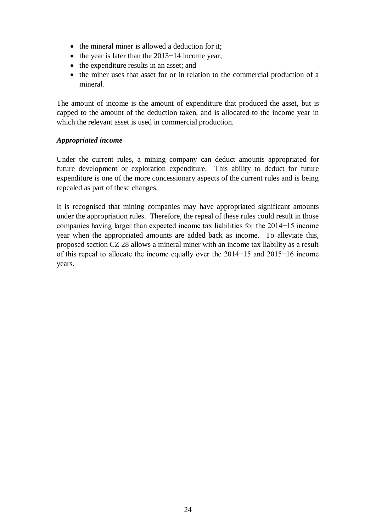- $\bullet$  the mineral miner is allowed a deduction for it:
- the year is later than the  $2013-14$  income year;
- the expenditure results in an asset; and
- the miner uses that asset for or in relation to the commercial production of a mineral.

The amount of income is the amount of expenditure that produced the asset, but is capped to the amount of the deduction taken, and is allocated to the income year in which the relevant asset is used in commercial production.

## *Appropriated income*

Under the current rules, a mining company can deduct amounts appropriated for future development or exploration expenditure. This ability to deduct for future expenditure is one of the more concessionary aspects of the current rules and is being repealed as part of these changes.

It is recognised that mining companies may have appropriated significant amounts under the appropriation rules. Therefore, the repeal of these rules could result in those companies having larger than expected income tax liabilities for the 2014−15 income year when the appropriated amounts are added back as income. To alleviate this, proposed section CZ 28 allows a mineral miner with an income tax liability as a result of this repeal to allocate the income equally over the 2014−15 and 2015−16 income years.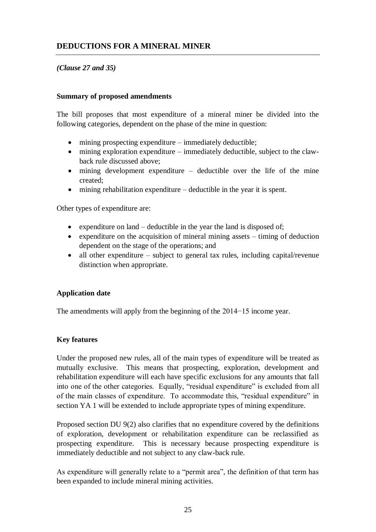## **DEDUCTIONS FOR A MINERAL MINER**

## *(Clause 27 and 35)*

#### **Summary of proposed amendments**

The bill proposes that most expenditure of a mineral miner be divided into the following categories, dependent on the phase of the mine in question:

- mining prospecting expenditure immediately deductible;
- mining exploration expenditure immediately deductible, subject to the clawback rule discussed above;
- $\bullet$  mining development expenditure deductible over the life of the mine created;
- mining rehabilitation expenditure deductible in the year it is spent.

Other types of expenditure are:

- expenditure on land deductible in the year the land is disposed of;
- expenditure on the acquisition of mineral mining assets  $-$  timing of deduction dependent on the stage of the operations; and
- all other expenditure subject to general tax rules, including capital/revenue distinction when appropriate.

## **Application date**

The amendments will apply from the beginning of the 2014−15 income year.

## **Key features**

Under the proposed new rules, all of the main types of expenditure will be treated as mutually exclusive. This means that prospecting, exploration, development and rehabilitation expenditure will each have specific exclusions for any amounts that fall into one of the other categories. Equally, "residual expenditure" is excluded from all of the main classes of expenditure. To accommodate this, "residual expenditure" in section YA 1 will be extended to include appropriate types of mining expenditure.

Proposed section DU 9(2) also clarifies that no expenditure covered by the definitions of exploration, development or rehabilitation expenditure can be reclassified as prospecting expenditure. This is necessary because prospecting expenditure is immediately deductible and not subject to any claw-back rule.

As expenditure will generally relate to a "permit area", the definition of that term has been expanded to include mineral mining activities.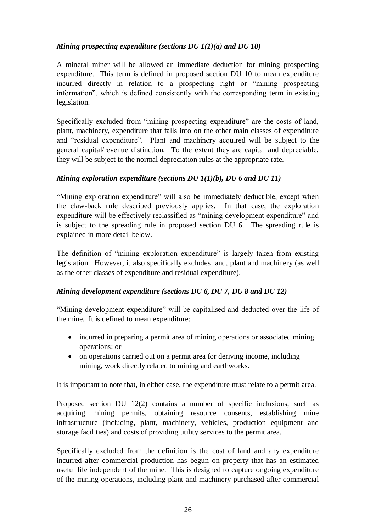## *Mining prospecting expenditure (sections DU 1(1)(a) and DU 10)*

A mineral miner will be allowed an immediate deduction for mining prospecting expenditure. This term is defined in proposed section DU 10 to mean expenditure incurred directly in relation to a prospecting right or "mining prospecting information", which is defined consistently with the corresponding term in existing legislation.

Specifically excluded from "mining prospecting expenditure" are the costs of land, plant, machinery, expenditure that falls into on the other main classes of expenditure and "residual expenditure". Plant and machinery acquired will be subject to the general capital/revenue distinction. To the extent they are capital and depreciable, they will be subject to the normal depreciation rules at the appropriate rate.

## *Mining exploration expenditure (sections DU 1(1)(b), DU 6 and DU 11)*

"Mining exploration expenditure" will also be immediately deductible, except when the claw-back rule described previously applies. In that case, the exploration expenditure will be effectively reclassified as "mining development expenditure" and is subject to the spreading rule in proposed section DU 6. The spreading rule is explained in more detail below.

The definition of "mining exploration expenditure" is largely taken from existing legislation. However, it also specifically excludes land, plant and machinery (as well as the other classes of expenditure and residual expenditure).

## *Mining development expenditure (sections DU 6, DU 7, DU 8 and DU 12)*

"Mining development expenditure" will be capitalised and deducted over the life of the mine. It is defined to mean expenditure:

- incurred in preparing a permit area of mining operations or associated mining operations; or
- on operations carried out on a permit area for deriving income, including mining, work directly related to mining and earthworks.

It is important to note that, in either case, the expenditure must relate to a permit area.

Proposed section DU 12(2) contains a number of specific inclusions, such as acquiring mining permits, obtaining resource consents, establishing mine infrastructure (including, plant, machinery, vehicles, production equipment and storage facilities) and costs of providing utility services to the permit area.

Specifically excluded from the definition is the cost of land and any expenditure incurred after commercial production has begun on property that has an estimated useful life independent of the mine. This is designed to capture ongoing expenditure of the mining operations, including plant and machinery purchased after commercial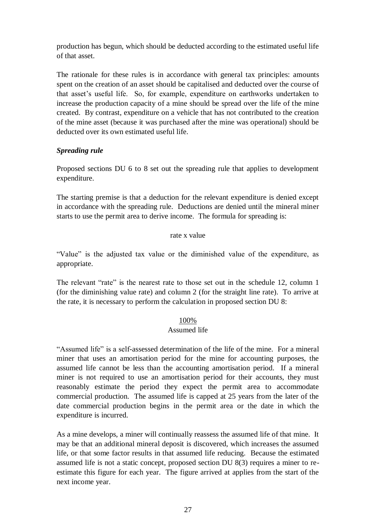production has begun, which should be deducted according to the estimated useful life of that asset.

The rationale for these rules is in accordance with general tax principles: amounts spent on the creation of an asset should be capitalised and deducted over the course of that asset's useful life. So, for example, expenditure on earthworks undertaken to increase the production capacity of a mine should be spread over the life of the mine created. By contrast, expenditure on a vehicle that has not contributed to the creation of the mine asset (because it was purchased after the mine was operational) should be deducted over its own estimated useful life.

## *Spreading rule*

Proposed sections DU 6 to 8 set out the spreading rule that applies to development expenditure.

The starting premise is that a deduction for the relevant expenditure is denied except in accordance with the spreading rule. Deductions are denied until the mineral miner starts to use the permit area to derive income. The formula for spreading is:

#### rate x value

"Value" is the adjusted tax value or the diminished value of the expenditure, as appropriate.

The relevant "rate" is the nearest rate to those set out in the schedule 12, column 1 (for the diminishing value rate) and column 2 (for the straight line rate). To arrive at the rate, it is necessary to perform the calculation in proposed section DU 8:

#### 100%

#### Assumed life

"Assumed life" is a self-assessed determination of the life of the mine. For a mineral miner that uses an amortisation period for the mine for accounting purposes, the assumed life cannot be less than the accounting amortisation period. If a mineral miner is not required to use an amortisation period for their accounts, they must reasonably estimate the period they expect the permit area to accommodate commercial production. The assumed life is capped at 25 years from the later of the date commercial production begins in the permit area or the date in which the expenditure is incurred.

As a mine develops, a miner will continually reassess the assumed life of that mine. It may be that an additional mineral deposit is discovered, which increases the assumed life, or that some factor results in that assumed life reducing. Because the estimated assumed life is not a static concept, proposed section DU 8(3) requires a miner to reestimate this figure for each year. The figure arrived at applies from the start of the next income year.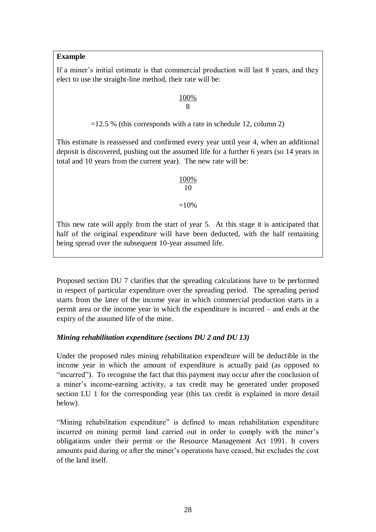## **Example**

If a miner's initial estimate is that commercial production will last 8 years, and they elect to use the straight-line method, their rate will be:

## 100% 8

 $=12.5$  % (this corresponds with a rate in schedule 12, column 2)

This estimate is reassessed and confirmed every year until year 4, when an additional deposit is discovered, pushing out the assumed life for a further 6 years (so 14 years in total and 10 years from the current year). The new rate will be:

## 100% 10  $=10%$

This new rate will apply from the start of year 5. At this stage it is anticipated that half of the original expenditure will have been deducted, with the half remaining being spread over the subsequent 10-year assumed life.

Proposed section DU 7 clarifies that the spreading calculations have to be performed in respect of particular expenditure over the spreading period. The spreading period starts from the later of the income year in which commercial production starts in a permit area or the income year in which the expenditure is incurred – and ends at the expiry of the assumed life of the mine.

## *Mining rehabilitation expenditure (sections DU 2 and DU 13)*

Under the proposed rules mining rehabilitation expenditure will be deductible in the income year in which the amount of expenditure is actually paid (as opposed to "incurred"). To recognise the fact that this payment may occur after the conclusion of a miner's income-earning activity, a tax credit may be generated under proposed section LU 1 for the corresponding year (this tax credit is explained in more detail below).

"Mining rehabilitation expenditure" is defined to mean rehabilitation expenditure incurred on mining permit land carried out in order to comply with the miner's obligations under their permit or the Resource Management Act 1991. It covers amounts paid during or after the miner's operations have ceased, but excludes the cost of the land itself.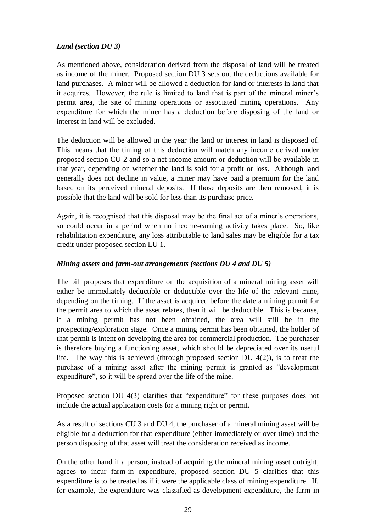## *Land (section DU 3)*

As mentioned above, consideration derived from the disposal of land will be treated as income of the miner. Proposed section DU 3 sets out the deductions available for land purchases. A miner will be allowed a deduction for land or interests in land that it acquires. However, the rule is limited to land that is part of the mineral miner's permit area, the site of mining operations or associated mining operations. Any expenditure for which the miner has a deduction before disposing of the land or interest in land will be excluded.

The deduction will be allowed in the year the land or interest in land is disposed of. This means that the timing of this deduction will match any income derived under proposed section CU 2 and so a net income amount or deduction will be available in that year, depending on whether the land is sold for a profit or loss. Although land generally does not decline in value, a miner may have paid a premium for the land based on its perceived mineral deposits. If those deposits are then removed, it is possible that the land will be sold for less than its purchase price.

Again, it is recognised that this disposal may be the final act of a miner's operations, so could occur in a period when no income-earning activity takes place. So, like rehabilitation expenditure, any loss attributable to land sales may be eligible for a tax credit under proposed section LU 1.

## *Mining assets and farm-out arrangements (sections DU 4 and DU 5)*

The bill proposes that expenditure on the acquisition of a mineral mining asset will either be immediately deductible or deductible over the life of the relevant mine, depending on the timing. If the asset is acquired before the date a mining permit for the permit area to which the asset relates, then it will be deductible. This is because, if a mining permit has not been obtained, the area will still be in the prospecting/exploration stage. Once a mining permit has been obtained, the holder of that permit is intent on developing the area for commercial production. The purchaser is therefore buying a functioning asset, which should be depreciated over its useful life. The way this is achieved (through proposed section DU 4(2)), is to treat the purchase of a mining asset after the mining permit is granted as "development expenditure", so it will be spread over the life of the mine.

Proposed section DU 4(3) clarifies that "expenditure" for these purposes does not include the actual application costs for a mining right or permit.

As a result of sections CU 3 and DU 4, the purchaser of a mineral mining asset will be eligible for a deduction for that expenditure (either immediately or over time) and the person disposing of that asset will treat the consideration received as income.

On the other hand if a person, instead of acquiring the mineral mining asset outright, agrees to incur farm-in expenditure, proposed section DU 5 clarifies that this expenditure is to be treated as if it were the applicable class of mining expenditure. If, for example, the expenditure was classified as development expenditure, the farm-in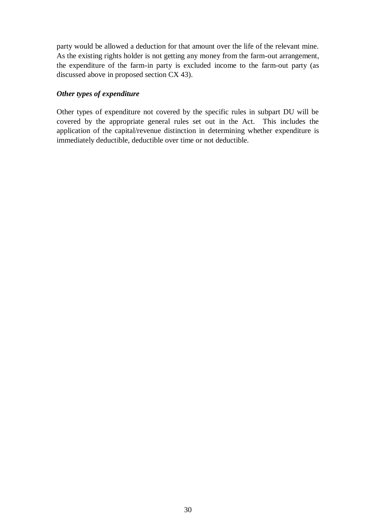party would be allowed a deduction for that amount over the life of the relevant mine. As the existing rights holder is not getting any money from the farm-out arrangement, the expenditure of the farm-in party is excluded income to the farm-out party (as discussed above in proposed section CX 43).

## *Other types of expenditure*

Other types of expenditure not covered by the specific rules in subpart DU will be covered by the appropriate general rules set out in the Act. This includes the application of the capital/revenue distinction in determining whether expenditure is immediately deductible, deductible over time or not deductible.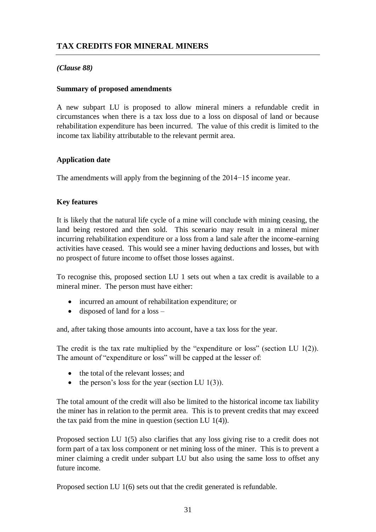## *(Clause 88)*

#### **Summary of proposed amendments**

A new subpart LU is proposed to allow mineral miners a refundable credit in circumstances when there is a tax loss due to a loss on disposal of land or because rehabilitation expenditure has been incurred. The value of this credit is limited to the income tax liability attributable to the relevant permit area.

## **Application date**

The amendments will apply from the beginning of the 2014−15 income year.

## **Key features**

It is likely that the natural life cycle of a mine will conclude with mining ceasing, the land being restored and then sold. This scenario may result in a mineral miner incurring rehabilitation expenditure or a loss from a land sale after the income-earning activities have ceased. This would see a miner having deductions and losses, but with no prospect of future income to offset those losses against.

To recognise this, proposed section LU 1 sets out when a tax credit is available to a mineral miner. The person must have either:

- incurred an amount of rehabilitation expenditure; or
- $\bullet$  disposed of land for a loss –

and, after taking those amounts into account, have a tax loss for the year.

The credit is the tax rate multiplied by the "expenditure or loss" (section LU 1(2)). The amount of "expenditure or loss" will be capped at the lesser of:

- the total of the relevant losses; and
- the person's loss for the year (section LU  $1(3)$ ).

The total amount of the credit will also be limited to the historical income tax liability the miner has in relation to the permit area. This is to prevent credits that may exceed the tax paid from the mine in question (section LU 1(4)).

Proposed section LU 1(5) also clarifies that any loss giving rise to a credit does not form part of a tax loss component or net mining loss of the miner. This is to prevent a miner claiming a credit under subpart LU but also using the same loss to offset any future income.

Proposed section LU 1(6) sets out that the credit generated is refundable.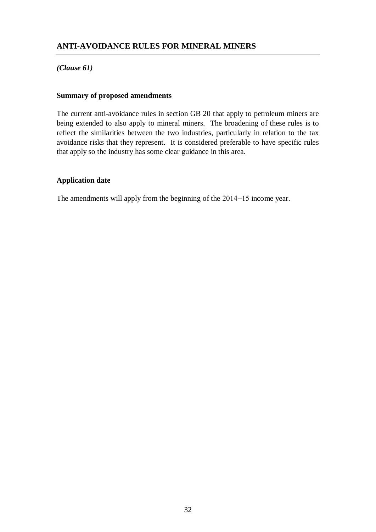## **ANTI-AVOIDANCE RULES FOR MINERAL MINERS**

## *(Clause 61)*

#### **Summary of proposed amendments**

The current anti-avoidance rules in section GB 20 that apply to petroleum miners are being extended to also apply to mineral miners. The broadening of these rules is to reflect the similarities between the two industries, particularly in relation to the tax avoidance risks that they represent. It is considered preferable to have specific rules that apply so the industry has some clear guidance in this area.

#### **Application date**

The amendments will apply from the beginning of the 2014−15 income year.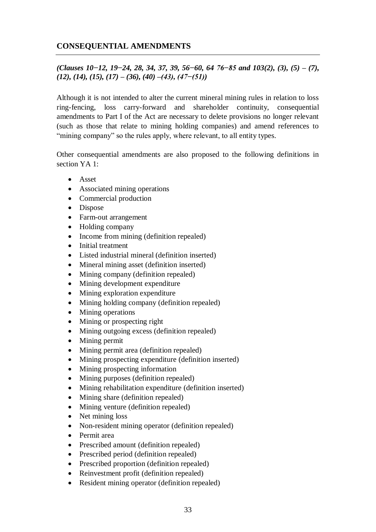## **CONSEQUENTIAL AMENDMENTS**

## *(Clauses 10−12, 19−24, 28, 34, 37, 39, 56−60, 64 76−85 and 103(2), (3), (5) – (7), (12), (14), (15), (17) – (36), (40) –(43), (47−(51))*

Although it is not intended to alter the current mineral mining rules in relation to loss ring-fencing, loss carry-forward and shareholder continuity, consequential amendments to Part I of the Act are necessary to delete provisions no longer relevant (such as those that relate to mining holding companies) and amend references to "mining company" so the rules apply, where relevant, to all entity types.

Other consequential amendments are also proposed to the following definitions in section YA 1:

- Asset
- Associated mining operations
- Commercial production
- Dispose
- Farm-out arrangement
- Holding company
- Income from mining (definition repealed)
- Initial treatment
- Listed industrial mineral (definition inserted)
- Mineral mining asset (definition inserted)
- Mining company (definition repealed)
- Mining development expenditure
- Mining exploration expenditure
- Mining holding company (definition repealed)
- Mining operations
- Mining or prospecting right
- Mining outgoing excess (definition repealed)
- Mining permit
- Mining permit area (definition repealed)
- Mining prospecting expenditure (definition inserted)
- Mining prospecting information
- Mining purposes (definition repealed)
- Mining rehabilitation expenditure (definition inserted)
- Mining share (definition repealed)
- Mining venture (definition repealed)
- Net mining loss
- Non-resident mining operator (definition repealed)
- Permit area
- Prescribed amount (definition repealed)
- Prescribed period (definition repealed)
- Prescribed proportion (definition repealed)
- Reinvestment profit (definition repealed)
- Resident mining operator (definition repealed)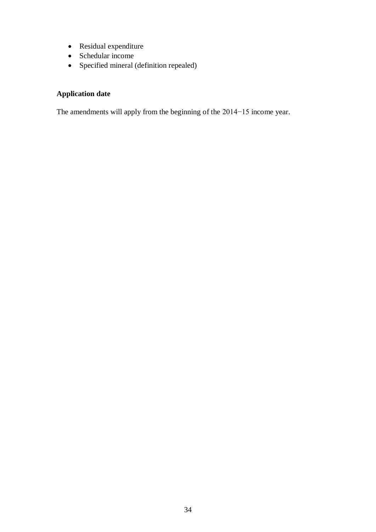- Residual expenditure
- Schedular income
- Specified mineral (definition repealed)

## **Application date**

The amendments will apply from the beginning of the 2014−15 income year.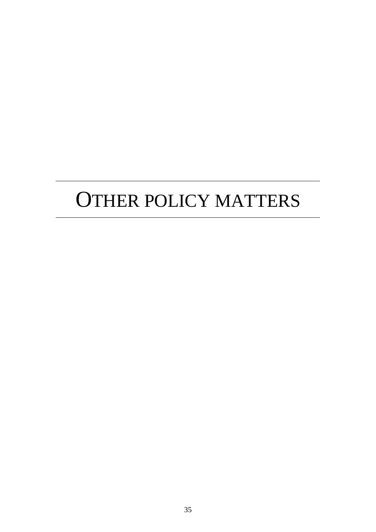## OTHER POLICY MATTERS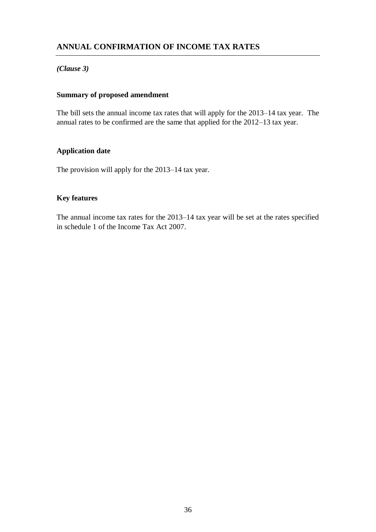## **ANNUAL CONFIRMATION OF INCOME TAX RATES**

## *(Clause 3)*

## **Summary of proposed amendment**

The bill sets the annual income tax rates that will apply for the 2013–14 tax year. The annual rates to be confirmed are the same that applied for the 2012–13 tax year.

## **Application date**

The provision will apply for the 2013–14 tax year.

## **Key features**

The annual income tax rates for the 2013–14 tax year will be set at the rates specified in schedule 1 of the Income Tax Act 2007.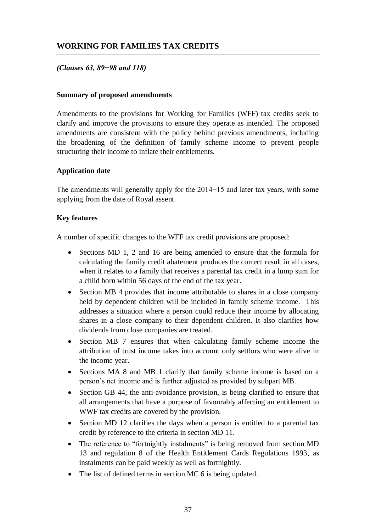## **WORKING FOR FAMILIES TAX CREDITS**

## *(Clauses 63, 89−98 and 118)*

#### **Summary of proposed amendments**

Amendments to the provisions for Working for Families (WFF) tax credits seek to clarify and improve the provisions to ensure they operate as intended. The proposed amendments are consistent with the policy behind previous amendments, including the broadening of the definition of family scheme income to prevent people structuring their income to inflate their entitlements.

#### **Application date**

The amendments will generally apply for the 2014−15 and later tax years, with some applying from the date of Royal assent.

## **Key features**

A number of specific changes to the WFF tax credit provisions are proposed:

- Sections MD 1, 2 and 16 are being amended to ensure that the formula for calculating the family credit abatement produces the correct result in all cases, when it relates to a family that receives a parental tax credit in a lump sum for a child born within 56 days of the end of the tax year.
- Section MB 4 provides that income attributable to shares in a close company held by dependent children will be included in family scheme income. This addresses a situation where a person could reduce their income by allocating shares in a close company to their dependent children. It also clarifies how dividends from close companies are treated.
- Section MB 7 ensures that when calculating family scheme income the attribution of trust income takes into account only settlors who were alive in the income year.
- Sections MA 8 and MB 1 clarify that family scheme income is based on a person's net income and is further adjusted as provided by subpart MB.
- Section GB 44, the anti-avoidance provision, is being clarified to ensure that all arrangements that have a purpose of favourably affecting an entitlement to WWF tax credits are covered by the provision.
- Section MD 12 clarifies the days when a person is entitled to a parental tax credit by reference to the criteria in section MD 11.
- The reference to "fortnightly instalments" is being removed from section MD 13 and regulation 8 of the Health Entitlement Cards Regulations 1993, as instalments can be paid weekly as well as fortnightly.
- The list of defined terms in section MC 6 is being updated.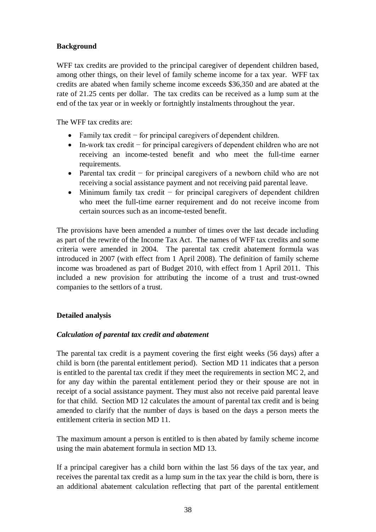## **Background**

WFF tax credits are provided to the principal caregiver of dependent children based, among other things, on their level of family scheme income for a tax year. WFF tax credits are abated when family scheme income exceeds \$36,350 and are abated at the rate of 21.25 cents per dollar. The tax credits can be received as a lump sum at the end of the tax year or in weekly or fortnightly instalments throughout the year.

The WFF tax credits are:

- Family tax credit − for principal caregivers of dependent children.
- In-work tax credit − for principal caregivers of dependent children who are not receiving an income-tested benefit and who meet the full-time earner requirements.
- Parental tax credit − for principal caregivers of a newborn child who are not receiving a social assistance payment and not receiving paid parental leave.
- Minimum family tax credit − for principal caregivers of dependent children who meet the full-time earner requirement and do not receive income from certain sources such as an income-tested benefit.

The provisions have been amended a number of times over the last decade including as part of the rewrite of the Income Tax Act. The names of WFF tax credits and some criteria were amended in 2004. The parental tax credit abatement formula was introduced in 2007 (with effect from 1 April 2008). The definition of family scheme income was broadened as part of Budget 2010, with effect from 1 April 2011. This included a new provision for attributing the income of a trust and trust-owned companies to the settlors of a trust.

## **Detailed analysis**

## *Calculation of parental tax credit and abatement*

The parental tax credit is a payment covering the first eight weeks (56 days) after a child is born (the parental entitlement period). Section MD 11 indicates that a person is entitled to the parental tax credit if they meet the requirements in section MC 2, and for any day within the parental entitlement period they or their spouse are not in receipt of a social assistance payment. They must also not receive paid parental leave for that child. Section MD 12 calculates the amount of parental tax credit and is being amended to clarify that the number of days is based on the days a person meets the entitlement criteria in section MD 11.

The maximum amount a person is entitled to is then abated by family scheme income using the main abatement formula in section MD 13.

If a principal caregiver has a child born within the last 56 days of the tax year, and receives the parental tax credit as a lump sum in the tax year the child is born, there is an additional abatement calculation reflecting that part of the parental entitlement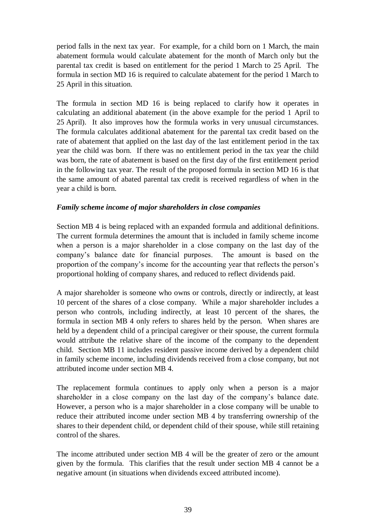period falls in the next tax year. For example, for a child born on 1 March, the main abatement formula would calculate abatement for the month of March only but the parental tax credit is based on entitlement for the period 1 March to 25 April. The formula in section MD 16 is required to calculate abatement for the period 1 March to 25 April in this situation.

The formula in section MD 16 is being replaced to clarify how it operates in calculating an additional abatement (in the above example for the period 1 April to 25 April). It also improves how the formula works in very unusual circumstances. The formula calculates additional abatement for the parental tax credit based on the rate of abatement that applied on the last day of the last entitlement period in the tax year the child was born. If there was no entitlement period in the tax year the child was born, the rate of abatement is based on the first day of the first entitlement period in the following tax year. The result of the proposed formula in section MD 16 is that the same amount of abated parental tax credit is received regardless of when in the year a child is born.

## *Family scheme income of major shareholders in close companies*

Section MB 4 is being replaced with an expanded formula and additional definitions. The current formula determines the amount that is included in family scheme income when a person is a major shareholder in a close company on the last day of the company's balance date for financial purposes. The amount is based on the proportion of the company's income for the accounting year that reflects the person's proportional holding of company shares, and reduced to reflect dividends paid.

A major shareholder is someone who owns or controls, directly or indirectly, at least 10 percent of the shares of a close company. While a major shareholder includes a person who controls, including indirectly, at least 10 percent of the shares, the formula in section MB 4 only refers to shares held by the person. When shares are held by a dependent child of a principal caregiver or their spouse, the current formula would attribute the relative share of the income of the company to the dependent child. Section MB 11 includes resident passive income derived by a dependent child in family scheme income, including dividends received from a close company, but not attributed income under section MB 4.

The replacement formula continues to apply only when a person is a major shareholder in a close company on the last day of the company's balance date. However, a person who is a major shareholder in a close company will be unable to reduce their attributed income under section MB 4 by transferring ownership of the shares to their dependent child, or dependent child of their spouse, while still retaining control of the shares.

The income attributed under section MB 4 will be the greater of zero or the amount given by the formula. This clarifies that the result under section MB 4 cannot be a negative amount (in situations when dividends exceed attributed income).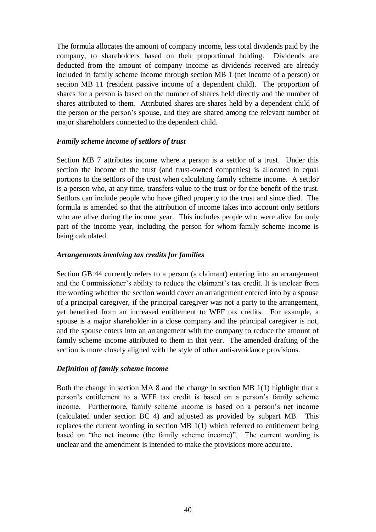The formula allocates the amount of company income, less total dividends paid by the company, to shareholders based on their proportional holding. Dividends are deducted from the amount of company income as dividends received are already included in family scheme income through section MB 1 (net income of a person) or section MB 11 (resident passive income of a dependent child). The proportion of shares for a person is based on the number of shares held directly and the number of shares attributed to them. Attributed shares are shares held by a dependent child of the person or the person's spouse, and they are shared among the relevant number of major shareholders connected to the dependent child.

## *Family scheme income of settlors of trust*

Section MB 7 attributes income where a person is a settlor of a trust. Under this section the income of the trust (and trust-owned companies) is allocated in equal portions to the settlors of the trust when calculating family scheme income. A settlor is a person who, at any time, transfers value to the trust or for the benefit of the trust. Settlors can include people who have gifted property to the trust and since died. The formula is amended so that the attribution of income takes into account only settlors who are alive during the income year. This includes people who were alive for only part of the income year, including the person for whom family scheme income is being calculated.

## *Arrangements involving tax credits for families*

Section GB 44 currently refers to a person (a claimant) entering into an arrangement and the Commissioner's ability to reduce the claimant's tax credit. It is unclear from the wording whether the section would cover an arrangement entered into by a spouse of a principal caregiver, if the principal caregiver was not a party to the arrangement, yet benefited from an increased entitlement to WFF tax credits. For example, a spouse is a major shareholder in a close company and the principal caregiver is not, and the spouse enters into an arrangement with the company to reduce the amount of family scheme income attributed to them in that year. The amended drafting of the section is more closely aligned with the style of other anti-avoidance provisions.

#### *Definition of family scheme income*

Both the change in section MA 8 and the change in section MB 1(1) highlight that a person's entitlement to a WFF tax credit is based on a person's family scheme income. Furthermore, family scheme income is based on a person's net income (calculated under section BC 4) and adjusted as provided by subpart MB. This replaces the current wording in section MB 1(1) which referred to entitlement being based on "the net income (the family scheme income)". The current wording is unclear and the amendment is intended to make the provisions more accurate.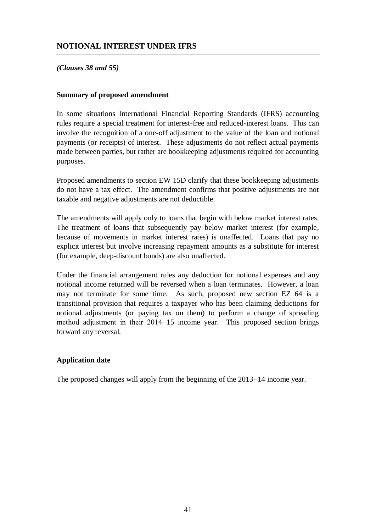## **NOTIONAL INTEREST UNDER IFRS**

## *(Clauses 38 and 55)*

#### **Summary of proposed amendment**

In some situations International Financial Reporting Standards (IFRS) accounting rules require a special treatment for interest-free and reduced-interest loans. This can involve the recognition of a one-off adjustment to the value of the loan and notional payments (or receipts) of interest. These adjustments do not reflect actual payments made between parties, but rather are bookkeeping adjustments required for accounting purposes.

Proposed amendments to section EW 15D clarify that these bookkeeping adjustments do not have a tax effect. The amendment confirms that positive adjustments are not taxable and negative adjustments are not deductible.

The amendments will apply only to loans that begin with below market interest rates. The treatment of loans that subsequently pay below market interest (for example, because of movements in market interest rates) is unaffected. Loans that pay no explicit interest but involve increasing repayment amounts as a substitute for interest (for example, deep-discount bonds) are also unaffected.

Under the financial arrangement rules any deduction for notional expenses and any notional income returned will be reversed when a loan terminates. However, a loan may not terminate for some time. As such, proposed new section EZ 64 is a transitional provision that requires a taxpayer who has been claiming deductions for notional adjustments (or paying tax on them) to perform a change of spreading method adjustment in their 2014−15 income year. This proposed section brings forward any reversal.

#### **Application date**

The proposed changes will apply from the beginning of the 2013−14 income year.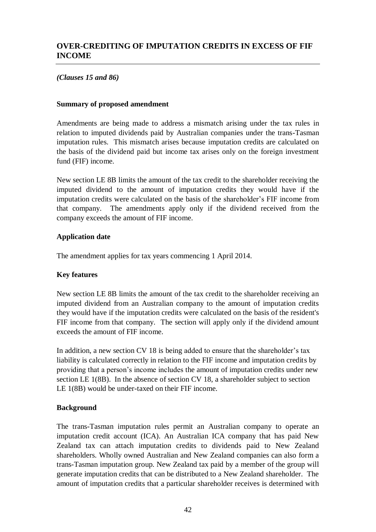## **OVER-CREDITING OF IMPUTATION CREDITS IN EXCESS OF FIF INCOME**

## *(Clauses 15 and 86)*

#### **Summary of proposed amendment**

Amendments are being made to address a mismatch arising under the tax rules in relation to imputed dividends paid by Australian companies under the trans-Tasman imputation rules. This mismatch arises because imputation credits are calculated on the basis of the dividend paid but income tax arises only on the foreign investment fund (FIF) income.

New section LE 8B limits the amount of the tax credit to the shareholder receiving the imputed dividend to the amount of imputation credits they would have if the imputation credits were calculated on the basis of the shareholder's FIF income from that company. The amendments apply only if the dividend received from the company exceeds the amount of FIF income.

## **Application date**

The amendment applies for tax years commencing 1 April 2014.

#### **Key features**

New section LE 8B limits the amount of the tax credit to the shareholder receiving an imputed dividend from an Australian company to the amount of imputation credits they would have if the imputation credits were calculated on the basis of the resident's FIF income from that company. The section will apply only if the dividend amount exceeds the amount of FIF income.

In addition, a new section CV 18 is being added to ensure that the shareholder's tax liability is calculated correctly in relation to the FIF income and imputation credits by providing that a person's income includes the amount of imputation credits under new section LE 1(8B). In the absence of section CV 18, a shareholder subject to section LE 1(8B) would be under-taxed on their FIF income.

#### **Background**

The trans-Tasman imputation rules permit an Australian company to operate an imputation credit account (ICA). An Australian ICA company that has paid New Zealand tax can attach imputation credits to dividends paid to New Zealand shareholders. Wholly owned Australian and New Zealand companies can also form a trans-Tasman imputation group. New Zealand tax paid by a member of the group will generate imputation credits that can be distributed to a New Zealand shareholder. The amount of imputation credits that a particular shareholder receives is determined with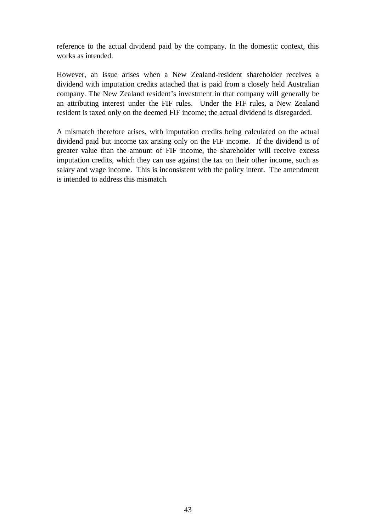reference to the actual dividend paid by the company. In the domestic context, this works as intended.

However, an issue arises when a New Zealand-resident shareholder receives a dividend with imputation credits attached that is paid from a closely held Australian company. The New Zealand resident's investment in that company will generally be an attributing interest under the FIF rules. Under the FIF rules, a New Zealand resident is taxed only on the deemed FIF income; the actual dividend is disregarded.

A mismatch therefore arises, with imputation credits being calculated on the actual dividend paid but income tax arising only on the FIF income. If the dividend is of greater value than the amount of FIF income, the shareholder will receive excess imputation credits, which they can use against the tax on their other income, such as salary and wage income. This is inconsistent with the policy intent. The amendment is intended to address this mismatch.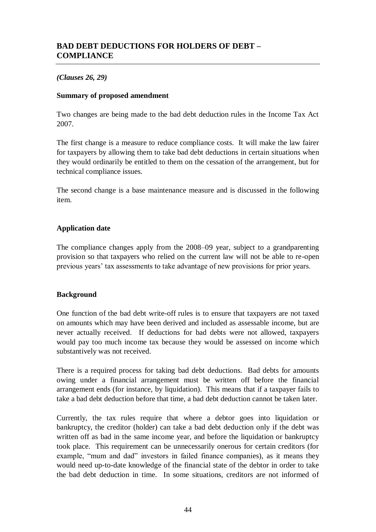## **BAD DEBT DEDUCTIONS FOR HOLDERS OF DEBT – COMPLIANCE**

## *(Clauses 26, 29)*

#### **Summary of proposed amendment**

Two changes are being made to the bad debt deduction rules in the Income Tax Act 2007.

The first change is a measure to reduce compliance costs. It will make the law fairer for taxpayers by allowing them to take bad debt deductions in certain situations when they would ordinarily be entitled to them on the cessation of the arrangement, but for technical compliance issues.

The second change is a base maintenance measure and is discussed in the following item.

## **Application date**

The compliance changes apply from the 2008–09 year, subject to a grandparenting provision so that taxpayers who relied on the current law will not be able to re-open previous years' tax assessments to take advantage of new provisions for prior years.

## **Background**

One function of the bad debt write-off rules is to ensure that taxpayers are not taxed on amounts which may have been derived and included as assessable income, but are never actually received. If deductions for bad debts were not allowed, taxpayers would pay too much income tax because they would be assessed on income which substantively was not received.

There is a required process for taking bad debt deductions. Bad debts for amounts owing under a financial arrangement must be written off before the financial arrangement ends (for instance, by liquidation). This means that if a taxpayer fails to take a bad debt deduction before that time, a bad debt deduction cannot be taken later.

Currently, the tax rules require that where a debtor goes into liquidation or bankruptcy, the creditor (holder) can take a bad debt deduction only if the debt was written off as bad in the same income year, and before the liquidation or bankruptcy took place. This requirement can be unnecessarily onerous for certain creditors (for example, "mum and dad" investors in failed finance companies), as it means they would need up-to-date knowledge of the financial state of the debtor in order to take the bad debt deduction in time. In some situations, creditors are not informed of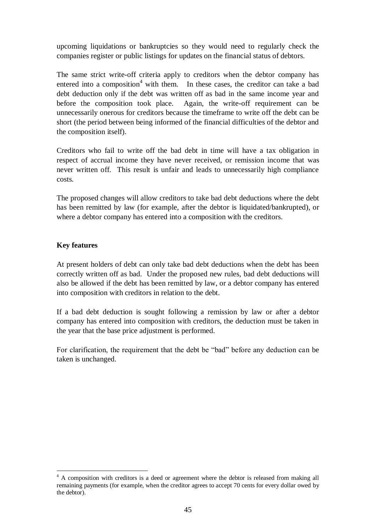upcoming liquidations or bankruptcies so they would need to regularly check the companies register or public listings for updates on the financial status of debtors.

The same strict write-off criteria apply to creditors when the debtor company has entered into a composition<sup>4</sup> with them. In these cases, the creditor can take a bad debt deduction only if the debt was written off as bad in the same income year and before the composition took place. Again, the write-off requirement can be unnecessarily onerous for creditors because the timeframe to write off the debt can be short (the period between being informed of the financial difficulties of the debtor and the composition itself).

Creditors who fail to write off the bad debt in time will have a tax obligation in respect of accrual income they have never received, or remission income that was never written off. This result is unfair and leads to unnecessarily high compliance costs.

The proposed changes will allow creditors to take bad debt deductions where the debt has been remitted by law (for example, after the debtor is liquidated/bankrupted), or where a debtor company has entered into a composition with the creditors.

## **Key features**

 $\overline{a}$ 

At present holders of debt can only take bad debt deductions when the debt has been correctly written off as bad. Under the proposed new rules, bad debt deductions will also be allowed if the debt has been remitted by law, or a debtor company has entered into composition with creditors in relation to the debt.

If a bad debt deduction is sought following a remission by law or after a debtor company has entered into composition with creditors, the deduction must be taken in the year that the base price adjustment is performed.

For clarification, the requirement that the debt be "bad" before any deduction can be taken is unchanged.

<sup>&</sup>lt;sup>4</sup> A composition with creditors is a deed or agreement where the debtor is released from making all remaining payments (for example, when the creditor agrees to accept 70 cents for every dollar owed by the debtor).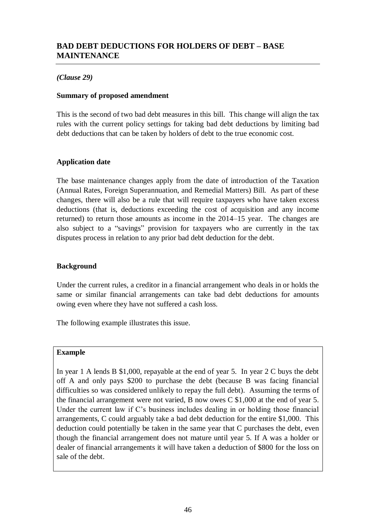## **BAD DEBT DEDUCTIONS FOR HOLDERS OF DEBT – BASE MAINTENANCE**

## *(Clause 29)*

#### **Summary of proposed amendment**

This is the second of two bad debt measures in this bill. This change will align the tax rules with the current policy settings for taking bad debt deductions by limiting bad debt deductions that can be taken by holders of debt to the true economic cost.

## **Application date**

The base maintenance changes apply from the date of introduction of the Taxation (Annual Rates, Foreign Superannuation, and Remedial Matters) Bill. As part of these changes, there will also be a rule that will require taxpayers who have taken excess deductions (that is, deductions exceeding the cost of acquisition and any income returned) to return those amounts as income in the 2014–15 year. The changes are also subject to a "savings" provision for taxpayers who are currently in the tax disputes process in relation to any prior bad debt deduction for the debt.

## **Background**

Under the current rules, a creditor in a financial arrangement who deals in or holds the same or similar financial arrangements can take bad debt deductions for amounts owing even where they have not suffered a cash loss.

The following example illustrates this issue.

#### **Example**

In year 1 A lends B \$1,000, repayable at the end of year 5. In year 2 C buys the debt off A and only pays \$200 to purchase the debt (because B was facing financial difficulties so was considered unlikely to repay the full debt). Assuming the terms of the financial arrangement were not varied, B now owes C \$1,000 at the end of year 5. Under the current law if C's business includes dealing in or holding those financial arrangements, C could arguably take a bad debt deduction for the entire \$1,000. This deduction could potentially be taken in the same year that C purchases the debt, even though the financial arrangement does not mature until year 5. If A was a holder or dealer of financial arrangements it will have taken a deduction of \$800 for the loss on sale of the debt.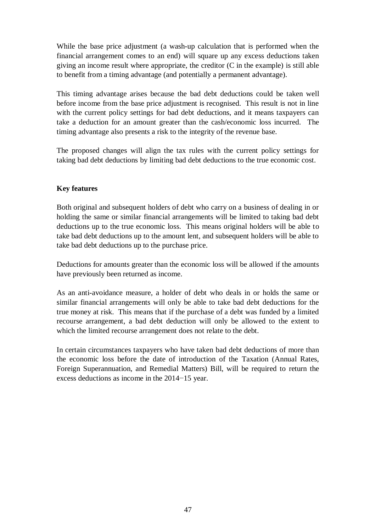While the base price adjustment (a wash-up calculation that is performed when the financial arrangement comes to an end) will square up any excess deductions taken giving an income result where appropriate, the creditor (C in the example) is still able to benefit from a timing advantage (and potentially a permanent advantage).

This timing advantage arises because the bad debt deductions could be taken well before income from the base price adjustment is recognised. This result is not in line with the current policy settings for bad debt deductions, and it means taxpayers can take a deduction for an amount greater than the cash/economic loss incurred. The timing advantage also presents a risk to the integrity of the revenue base.

The proposed changes will align the tax rules with the current policy settings for taking bad debt deductions by limiting bad debt deductions to the true economic cost.

## **Key features**

Both original and subsequent holders of debt who carry on a business of dealing in or holding the same or similar financial arrangements will be limited to taking bad debt deductions up to the true economic loss. This means original holders will be able to take bad debt deductions up to the amount lent, and subsequent holders will be able to take bad debt deductions up to the purchase price.

Deductions for amounts greater than the economic loss will be allowed if the amounts have previously been returned as income.

As an anti-avoidance measure, a holder of debt who deals in or holds the same or similar financial arrangements will only be able to take bad debt deductions for the true money at risk. This means that if the purchase of a debt was funded by a limited recourse arrangement, a bad debt deduction will only be allowed to the extent to which the limited recourse arrangement does not relate to the debt.

In certain circumstances taxpayers who have taken bad debt deductions of more than the economic loss before the date of introduction of the Taxation (Annual Rates, Foreign Superannuation, and Remedial Matters) Bill, will be required to return the excess deductions as income in the 2014−15 year.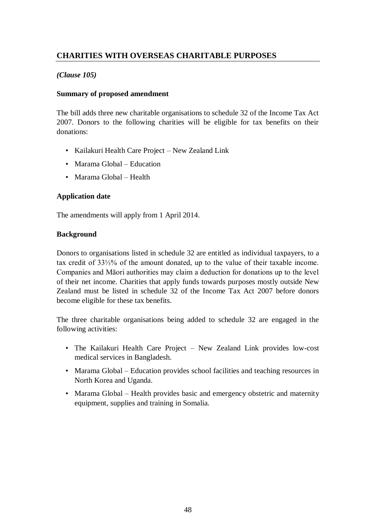## **CHARITIES WITH OVERSEAS CHARITABLE PURPOSES**

## *(Clause 105)*

## **Summary of proposed amendment**

The bill adds three new charitable organisations to schedule 32 of the Income Tax Act 2007. Donors to the following charities will be eligible for tax benefits on their donations:

- Kailakuri Health Care Project New Zealand Link
- Marama Global Education
- Marama Global Health

## **Application date**

The amendments will apply from 1 April 2014.

## **Background**

Donors to organisations listed in schedule 32 are entitled as individual taxpayers, to a tax credit of 33⅓% of the amount donated, up to the value of their taxable income. Companies and Māori authorities may claim a deduction for donations up to the level of their net income. Charities that apply funds towards purposes mostly outside New Zealand must be listed in schedule 32 of the Income Tax Act 2007 before donors become eligible for these tax benefits.

The three charitable organisations being added to schedule 32 are engaged in the following activities:

- The Kailakuri Health Care Project New Zealand Link provides low-cost medical services in Bangladesh.
- Marama Global Education provides school facilities and teaching resources in North Korea and Uganda.
- Marama Global Health provides basic and emergency obstetric and maternity equipment, supplies and training in Somalia.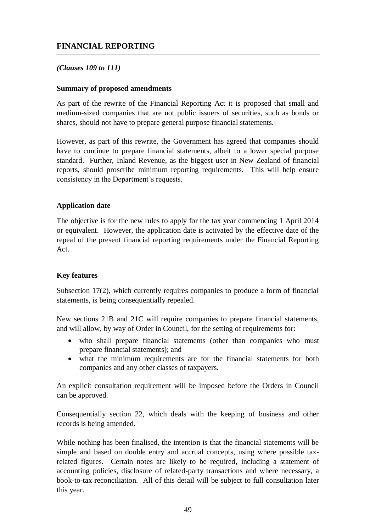## *(Clauses 109 to 111)*

#### **Summary of proposed amendments**

As part of the rewrite of the Financial Reporting Act it is proposed that small and medium-sized companies that are not public issuers of securities, such as bonds or shares, should not have to prepare general purpose financial statements.

However, as part of this rewrite, the Government has agreed that companies should have to continue to prepare financial statements, albeit to a lower special purpose standard. Further, Inland Revenue, as the biggest user in New Zealand of financial reports, should proscribe minimum reporting requirements. This will help ensure consistency in the Department's requests.

## **Application date**

The objective is for the new rules to apply for the tax year commencing 1 April 2014 or equivalent. However, the application date is activated by the effective date of the repeal of the present financial reporting requirements under the Financial Reporting Act.

#### **Key features**

Subsection 17(2), which currently requires companies to produce a form of financial statements, is being consequentially repealed.

New sections 21B and 21C will require companies to prepare financial statements, and will allow, by way of Order in Council, for the setting of requirements for:

- who shall prepare financial statements (other than companies who must prepare financial statements); and
- what the minimum requirements are for the financial statements for both companies and any other classes of taxpayers.

An explicit consultation requirement will be imposed before the Orders in Council can be approved.

Consequentially section 22, which deals with the keeping of business and other records is being amended.

While nothing has been finalised, the intention is that the financial statements will be simple and based on double entry and accrual concepts, using where possible taxrelated figures. Certain notes are likely to be required, including a statement of accounting policies, disclosure of related-party transactions and where necessary, a book-to-tax reconciliation. All of this detail will be subject to full consultation later this year.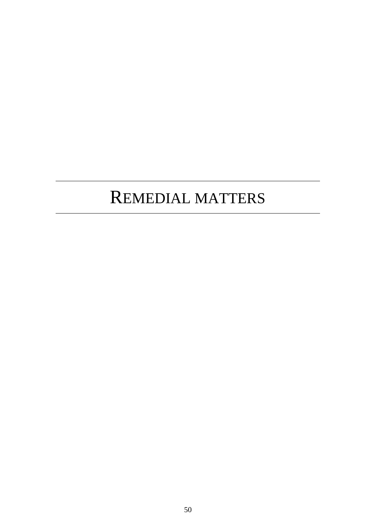## REMEDIAL MATTERS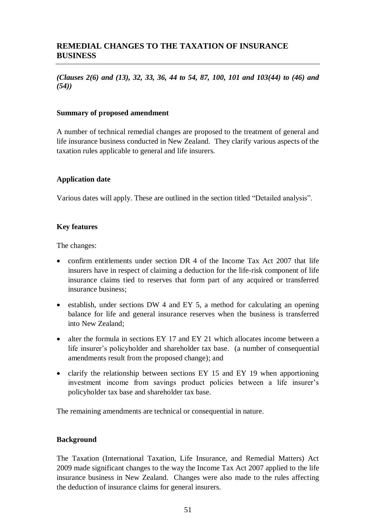*(Clauses 2(6) and (13), 32, 33, 36, 44 to 54, 87, 100, 101 and 103(44) to (46) and (54))*

## **Summary of proposed amendment**

A number of technical remedial changes are proposed to the treatment of general and life insurance business conducted in New Zealand. They clarify various aspects of the taxation rules applicable to general and life insurers.

## **Application date**

Various dates will apply. These are outlined in the section titled "Detailed analysis".

## **Key features**

The changes:

- confirm entitlements under section DR 4 of the Income Tax Act 2007 that life insurers have in respect of claiming a deduction for the life-risk component of life insurance claims tied to reserves that form part of any acquired or transferred insurance business;
- $\bullet$  establish, under sections DW 4 and EY 5, a method for calculating an opening balance for life and general insurance reserves when the business is transferred into New Zealand;
- alter the formula in sections EY 17 and EY 21 which allocates income between a life insurer's policyholder and shareholder tax base. (a number of consequential amendments result from the proposed change); and
- clarify the relationship between sections EY 15 and EY 19 when apportioning investment income from savings product policies between a life insurer's policyholder tax base and shareholder tax base.

The remaining amendments are technical or consequential in nature.

#### **Background**

The Taxation (International Taxation, Life Insurance, and Remedial Matters) Act 2009 made significant changes to the way the Income Tax Act 2007 applied to the life insurance business in New Zealand. Changes were also made to the rules affecting the deduction of insurance claims for general insurers.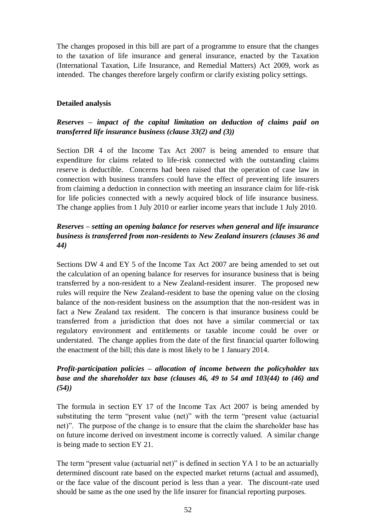The changes proposed in this bill are part of a programme to ensure that the changes to the taxation of life insurance and general insurance, enacted by the Taxation (International Taxation, Life Insurance, and Remedial Matters) Act 2009, work as intended. The changes therefore largely confirm or clarify existing policy settings.

## **Detailed analysis**

## *Reserves – impact of the capital limitation on deduction of claims paid on transferred life insurance business (clause 33(2) and (3))*

Section DR 4 of the Income Tax Act 2007 is being amended to ensure that expenditure for claims related to life-risk connected with the outstanding claims reserve is deductible. Concerns had been raised that the operation of case law in connection with business transfers could have the effect of preventing life insurers from claiming a deduction in connection with meeting an insurance claim for life-risk for life policies connected with a newly acquired block of life insurance business. The change applies from 1 July 2010 or earlier income years that include 1 July 2010.

## *Reserves – setting an opening balance for reserves when general and life insurance business is transferred from non-residents to New Zealand insurers (clauses 36 and 44)*

Sections DW 4 and EY 5 of the Income Tax Act 2007 are being amended to set out the calculation of an opening balance for reserves for insurance business that is being transferred by a non-resident to a New Zealand-resident insurer. The proposed new rules will require the New Zealand-resident to base the opening value on the closing balance of the non-resident business on the assumption that the non-resident was in fact a New Zealand tax resident. The concern is that insurance business could be transferred from a jurisdiction that does not have a similar commercial or tax regulatory environment and entitlements or taxable income could be over or understated. The change applies from the date of the first financial quarter following the enactment of the bill; this date is most likely to be 1 January 2014.

## *Profit-participation policies – allocation of income between the policyholder tax base and the shareholder tax base (clauses 46, 49 to 54 and 103(44) to (46) and (54))*

The formula in section EY 17 of the Income Tax Act 2007 is being amended by substituting the term "present value (net)" with the term "present value (actuarial net)". The purpose of the change is to ensure that the claim the shareholder base has on future income derived on investment income is correctly valued. A similar change is being made to section EY 21.

The term "present value (actuarial net)" is defined in section YA 1 to be an actuarially determined discount rate based on the expected market returns (actual and assumed), or the face value of the discount period is less than a year. The discount-rate used should be same as the one used by the life insurer for financial reporting purposes.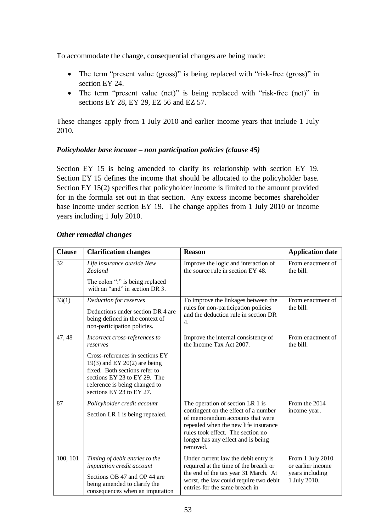To accommodate the change, consequential changes are being made:

- The term "present value (gross)" is being replaced with "risk-free (gross)" in section EY 24.
- The term "present value (net)" is being replaced with "risk-free (net)" in sections EY 28, EY 29, EZ 56 and EZ 57.

These changes apply from 1 July 2010 and earlier income years that include 1 July 2010.

## *Policyholder base income – non participation policies (clause 45)*

Section EY 15 is being amended to clarify its relationship with section EY 19. Section EY 15 defines the income that should be allocated to the policyholder base. Section EY 15(2) specifies that policyholder income is limited to the amount provided for in the formula set out in that section. Any excess income becomes shareholder base income under section EY 19. The change applies from 1 July 2010 or income years including 1 July 2010.

| <b>Clause</b> | <b>Clarification changes</b>                                                                                                                                                                                                               | <b>Reason</b>                                                                                                                                                                                                                               | <b>Application date</b>                                                  |
|---------------|--------------------------------------------------------------------------------------------------------------------------------------------------------------------------------------------------------------------------------------------|---------------------------------------------------------------------------------------------------------------------------------------------------------------------------------------------------------------------------------------------|--------------------------------------------------------------------------|
| 32            | Life insurance outside New<br><b>Zealand</b><br>The colon ":" is being replaced<br>with an "and" in section DR 3.                                                                                                                          | Improve the logic and interaction of<br>the source rule in section EY 48.                                                                                                                                                                   | From enactment of<br>the bill.                                           |
| 33(1)         | Deduction for reserves<br>Deductions under section DR 4 are<br>being defined in the context of<br>non-participation policies.                                                                                                              | To improve the linkages between the<br>rules for non-participation policies<br>and the deduction rule in section DR<br>4.                                                                                                                   | From enactment of<br>the bill.                                           |
| 47, 48        | Incorrect cross-references to<br>reserves<br>Cross-references in sections EY<br>19(3) and EY 20(2) are being<br>fixed. Both sections refer to<br>sections EY 23 to EY 29. The<br>reference is being changed to<br>sections EY 23 to EY 27. | Improve the internal consistency of<br>the Income Tax Act 2007.                                                                                                                                                                             | From enactment of<br>the bill.                                           |
| 87            | Policyholder credit account<br>Section LR 1 is being repealed.                                                                                                                                                                             | The operation of section LR 1 is<br>contingent on the effect of a number<br>of memorandum accounts that were<br>repealed when the new life insurance<br>rules took effect. The section no<br>longer has any effect and is being<br>removed. | From the 2014<br>income year.                                            |
| 100, 101      | Timing of debit entries to the<br>imputation credit account<br>Sections OB 47 and OP 44 are<br>being amended to clarify the<br>consequences when an imputation                                                                             | Under current law the debit entry is<br>required at the time of the breach or<br>the end of the tax year 31 March. At<br>worst, the law could require two debit<br>entries for the same breach in                                           | From 1 July 2010<br>or earlier income<br>years including<br>1 July 2010. |

## *Other remedial changes*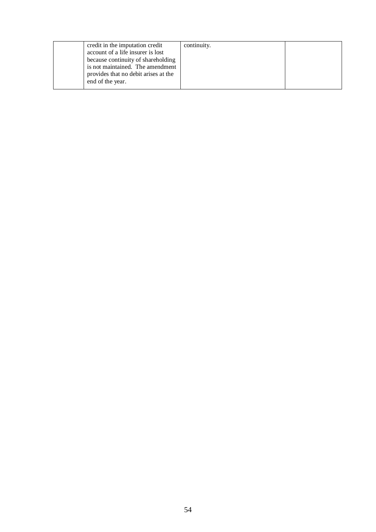| credit in the imputation credit<br>account of a life insurer is lost<br>because continuity of shareholding<br>is not maintained. The amendment | continuity. |  |
|------------------------------------------------------------------------------------------------------------------------------------------------|-------------|--|
| provides that no debit arises at the<br>end of the year.                                                                                       |             |  |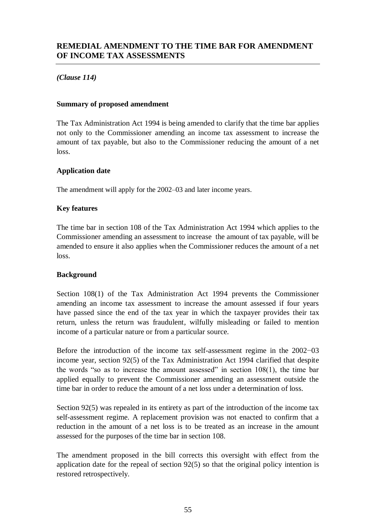## *(Clause 114)*

## **Summary of proposed amendment**

The Tax Administration Act 1994 is being amended to clarify that the time bar applies not only to the Commissioner amending an income tax assessment to increase the amount of tax payable, but also to the Commissioner reducing the amount of a net loss.

## **Application date**

The amendment will apply for the 2002–03 and later income years.

## **Key features**

The time bar in section 108 of the Tax Administration Act 1994 which applies to the Commissioner amending an assessment to increase the amount of tax payable, will be amended to ensure it also applies when the Commissioner reduces the amount of a net loss.

#### **Background**

Section 108(1) of the Tax Administration Act 1994 prevents the Commissioner amending an income tax assessment to increase the amount assessed if four years have passed since the end of the tax year in which the taxpayer provides their tax return, unless the return was fraudulent, wilfully misleading or failed to mention income of a particular nature or from a particular source.

Before the introduction of the income tax self-assessment regime in the 2002−03 income year, section 92(5) of the Tax Administration Act 1994 clarified that despite the words "so as to increase the amount assessed" in section 108(1), the time bar applied equally to prevent the Commissioner amending an assessment outside the time bar in order to reduce the amount of a net loss under a determination of loss.

Section 92(5) was repealed in its entirety as part of the introduction of the income tax self-assessment regime. A replacement provision was not enacted to confirm that a reduction in the amount of a net loss is to be treated as an increase in the amount assessed for the purposes of the time bar in section 108.

The amendment proposed in the bill corrects this oversight with effect from the application date for the repeal of section 92(5) so that the original policy intention is restored retrospectively.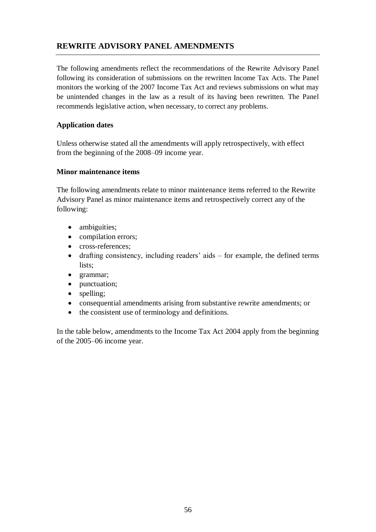## **REWRITE ADVISORY PANEL AMENDMENTS**

The following amendments reflect the recommendations of the Rewrite Advisory Panel following its consideration of submissions on the rewritten Income Tax Acts. The Panel monitors the working of the 2007 Income Tax Act and reviews submissions on what may be unintended changes in the law as a result of its having been rewritten. The Panel recommends legislative action, when necessary, to correct any problems.

## **Application dates**

Unless otherwise stated all the amendments will apply retrospectively, with effect from the beginning of the 2008–09 income year.

## **Minor maintenance items**

The following amendments relate to minor maintenance items referred to the Rewrite Advisory Panel as minor maintenance items and retrospectively correct any of the following:

- ambiguities;
- compilation errors;
- cross-references:
- drafting consistency, including readers' aids for example, the defined terms lists;
- grammar;
- punctuation;
- spelling;
- consequential amendments arising from substantive rewrite amendments; or
- the consistent use of terminology and definitions.

In the table below, amendments to the Income Tax Act 2004 apply from the beginning of the 2005–06 income year.